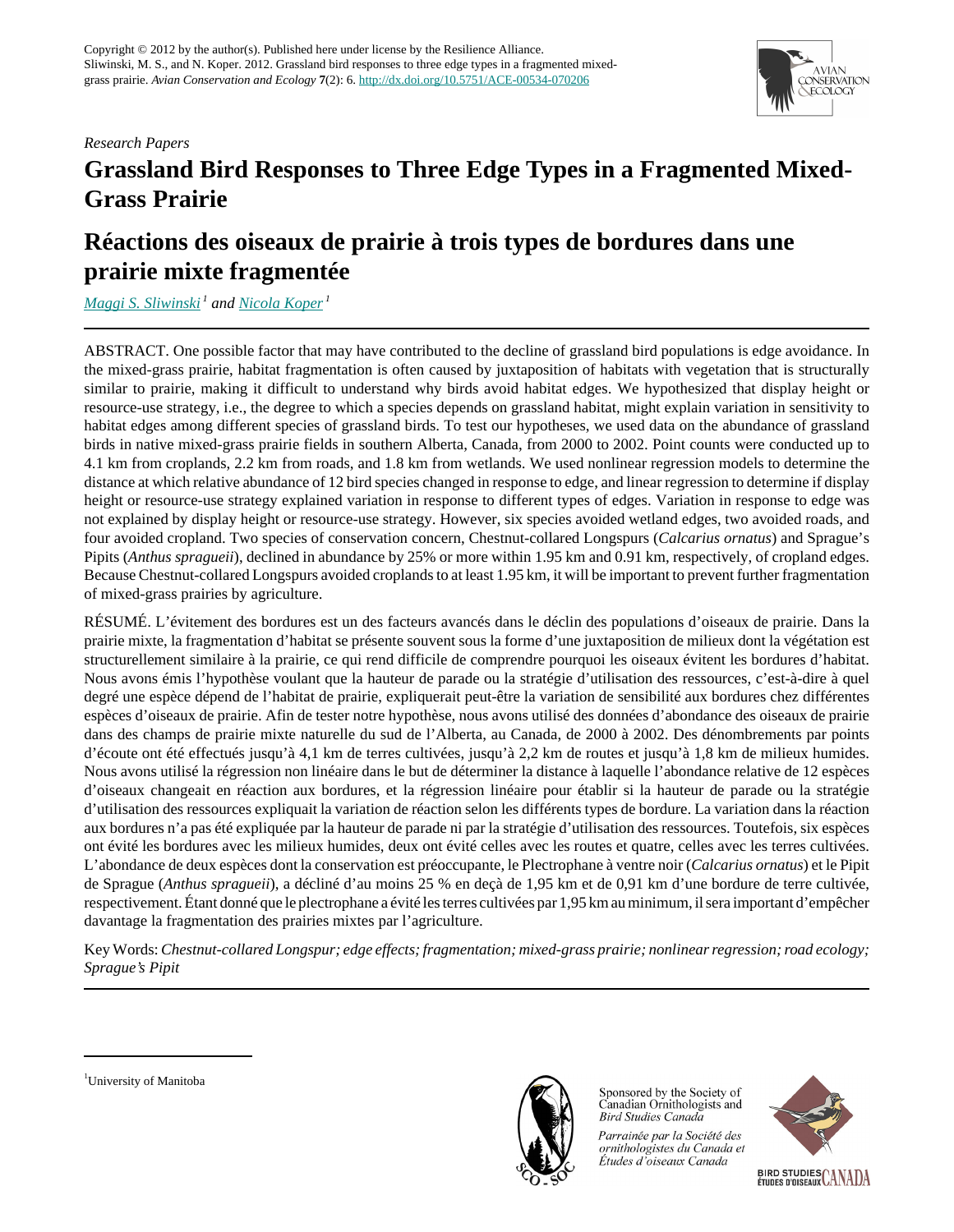

## *Research Papers*

# **Grassland Bird Responses to Three Edge Types in a Fragmented Mixed-Grass Prairie**

## **Réactions des oiseaux de prairie à trois types de bordures dans une prairie mixte fragmentée**

*[Maggi S. Sliwinski](mailto:maggi.sliwinski@gmail.com)<sup>1</sup> and [Nicola Koper](mailto:koper@cc.umanitoba.ca)<sup>1</sup>*

ABSTRACT. One possible factor that may have contributed to the decline of grassland bird populations is edge avoidance. In the mixed-grass prairie, habitat fragmentation is often caused by juxtaposition of habitats with vegetation that is structurally similar to prairie, making it difficult to understand why birds avoid habitat edges. We hypothesized that display height or resource-use strategy, i.e., the degree to which a species depends on grassland habitat, might explain variation in sensitivity to habitat edges among different species of grassland birds. To test our hypotheses, we used data on the abundance of grassland birds in native mixed-grass prairie fields in southern Alberta, Canada, from 2000 to 2002. Point counts were conducted up to 4.1 km from croplands, 2.2 km from roads, and 1.8 km from wetlands. We used nonlinear regression models to determine the distance at which relative abundance of 12 bird species changed in response to edge, and linear regression to determine if display height or resource-use strategy explained variation in response to different types of edges. Variation in response to edge was not explained by display height or resource-use strategy. However, six species avoided wetland edges, two avoided roads, and four avoided cropland. Two species of conservation concern, Chestnut-collared Longspurs (*Calcarius ornatus*) and Sprague's Pipits (*Anthus spragueii*), declined in abundance by 25% or more within 1.95 km and 0.91 km, respectively, of cropland edges. Because Chestnut-collared Longspurs avoided croplands to at least 1.95 km, it will be important to prevent further fragmentation of mixed-grass prairies by agriculture.

RÉSUMÉ. L'évitement des bordures est un des facteurs avancés dans le déclin des populations d'oiseaux de prairie. Dans la prairie mixte, la fragmentation d'habitat se présente souvent sous la forme d'une juxtaposition de milieux dont la végétation est structurellement similaire à la prairie, ce qui rend difficile de comprendre pourquoi les oiseaux évitent les bordures d'habitat. Nous avons émis l'hypothèse voulant que la hauteur de parade ou la stratégie d'utilisation des ressources, c'est-à-dire à quel degré une espèce dépend de l'habitat de prairie, expliquerait peut-être la variation de sensibilité aux bordures chez différentes espèces d'oiseaux de prairie. Afin de tester notre hypothèse, nous avons utilisé des données d'abondance des oiseaux de prairie dans des champs de prairie mixte naturelle du sud de l'Alberta, au Canada, de 2000 à 2002. Des dénombrements par points d'écoute ont été effectués jusqu'à 4,1 km de terres cultivées, jusqu'à 2,2 km de routes et jusqu'à 1,8 km de milieux humides. Nous avons utilisé la régression non linéaire dans le but de déterminer la distance à laquelle l'abondance relative de 12 espèces d'oiseaux changeait en réaction aux bordures, et la régression linéaire pour établir si la hauteur de parade ou la stratégie d'utilisation des ressources expliquait la variation de réaction selon les différents types de bordure. La variation dans la réaction aux bordures n'a pas été expliquée par la hauteur de parade ni par la stratégie d'utilisation des ressources. Toutefois, six espèces ont évité les bordures avec les milieux humides, deux ont évité celles avec les routes et quatre, celles avec les terres cultivées. L'abondance de deux espèces dont la conservation est préoccupante, le Plectrophane à ventre noir (*Calcarius ornatus*) et le Pipit de Sprague (*Anthus spragueii*), a décliné d'au moins 25 % en deçà de 1,95 km et de 0,91 km d'une bordure de terre cultivée, respectivement. Étant donné que le plectrophane a évité les terres cultivées par 1,95 km au minimum, il sera important d'empêcher davantage la fragmentation des prairies mixtes par l'agriculture.

Key Words: *Chestnut-collared Longspur; edge effects; fragmentation; mixed-grass prairie; nonlinear regression; road ecology; Sprague's Pipit*



Sponsored by the Society of Canadian Ornithologists and **Bird Studies Canada** 

Parrainée par la Société des ornithologistes du Canada et Études d'oiseaux Canada



<sup>&</sup>lt;sup>1</sup>University of Manitoba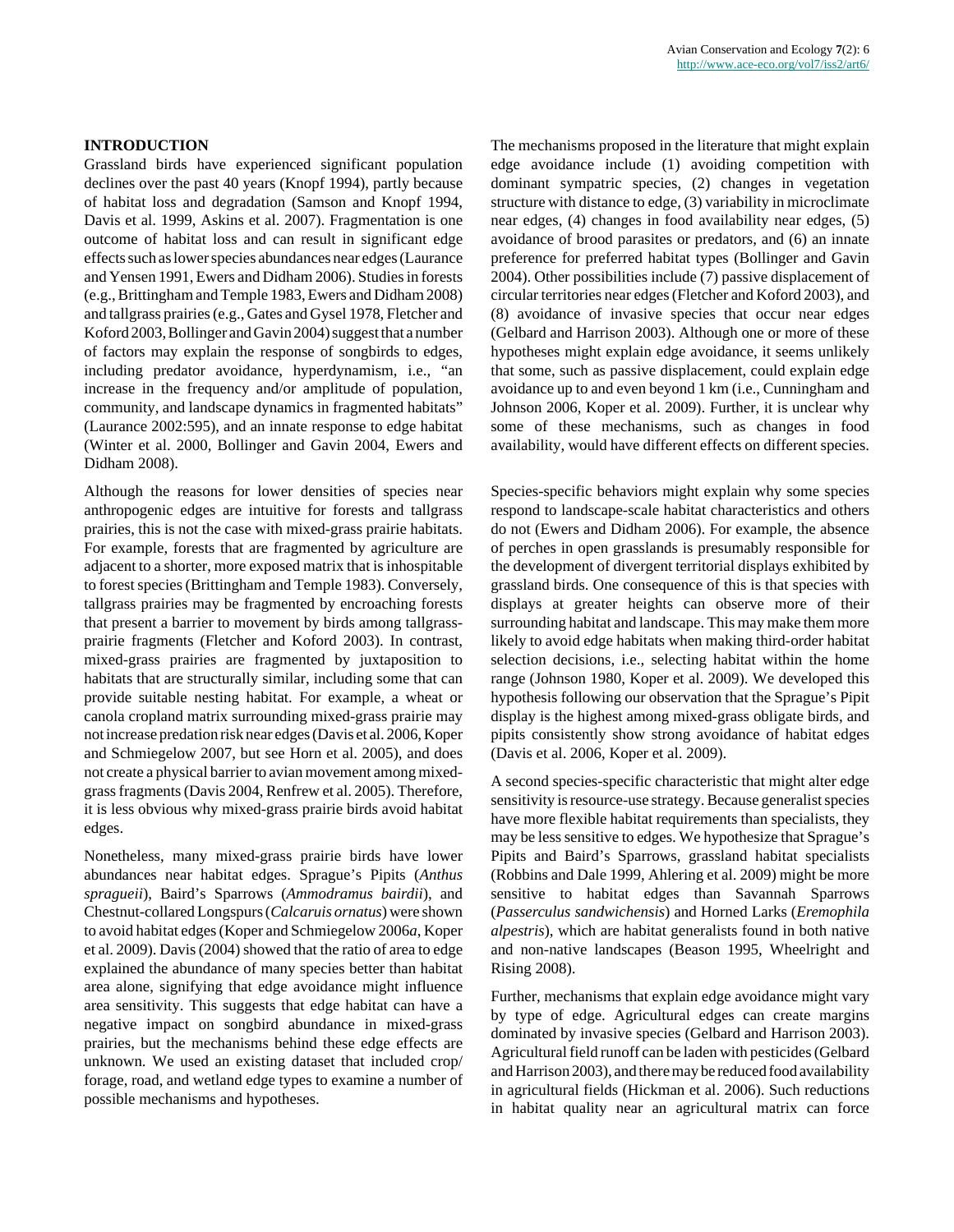### **INTRODUCTION**

Grassland birds have experienced significant population declines over the past 40 years (Knopf 1994), partly because of habitat loss and degradation (Samson and Knopf 1994, Davis et al. 1999, Askins et al. 2007). Fragmentation is one outcome of habitat loss and can result in significant edge effects such as lower species abundances near edges (Laurance and Yensen 1991, Ewers and Didham 2006). Studies in forests (e.g., Brittingham and Temple 1983, Ewers and Didham 2008) and tallgrass prairies (e.g., Gates and Gysel 1978, Fletcher and Koford 2003, Bollinger and Gavin 2004) suggest that a number of factors may explain the response of songbirds to edges, including predator avoidance, hyperdynamism, i.e., "an increase in the frequency and/or amplitude of population, community, and landscape dynamics in fragmented habitats" (Laurance 2002:595), and an innate response to edge habitat (Winter et al. 2000, Bollinger and Gavin 2004, Ewers and Didham 2008).

Although the reasons for lower densities of species near anthropogenic edges are intuitive for forests and tallgrass prairies, this is not the case with mixed-grass prairie habitats. For example, forests that are fragmented by agriculture are adjacent to a shorter, more exposed matrix that is inhospitable to forest species (Brittingham and Temple 1983). Conversely, tallgrass prairies may be fragmented by encroaching forests that present a barrier to movement by birds among tallgrassprairie fragments (Fletcher and Koford 2003). In contrast, mixed-grass prairies are fragmented by juxtaposition to habitats that are structurally similar, including some that can provide suitable nesting habitat. For example, a wheat or canola cropland matrix surrounding mixed-grass prairie may not increase predation risk near edges (Davis et al. 2006, Koper and Schmiegelow 2007, but see Horn et al. 2005), and does not create a physical barrier to avian movement among mixedgrass fragments (Davis 2004, Renfrew et al. 2005). Therefore, it is less obvious why mixed-grass prairie birds avoid habitat edges.

Nonetheless, many mixed-grass prairie birds have lower abundances near habitat edges. Sprague's Pipits (*Anthus spragueii*), Baird's Sparrows (*Ammodramus bairdii*), and Chestnut-collared Longspurs (*Calcaruis ornatus*) were shown to avoid habitat edges (Koper and Schmiegelow 2006*a*, Koper et al. 2009). Davis (2004) showed that the ratio of area to edge explained the abundance of many species better than habitat area alone, signifying that edge avoidance might influence area sensitivity. This suggests that edge habitat can have a negative impact on songbird abundance in mixed-grass prairies, but the mechanisms behind these edge effects are unknown. We used an existing dataset that included crop/ forage, road, and wetland edge types to examine a number of possible mechanisms and hypotheses.

The mechanisms proposed in the literature that might explain edge avoidance include (1) avoiding competition with dominant sympatric species, (2) changes in vegetation structure with distance to edge, (3) variability in microclimate near edges, (4) changes in food availability near edges, (5) avoidance of brood parasites or predators, and (6) an innate preference for preferred habitat types (Bollinger and Gavin 2004). Other possibilities include (7) passive displacement of circular territories near edges (Fletcher and Koford 2003), and (8) avoidance of invasive species that occur near edges (Gelbard and Harrison 2003). Although one or more of these hypotheses might explain edge avoidance, it seems unlikely that some, such as passive displacement, could explain edge avoidance up to and even beyond 1 km (i.e., Cunningham and Johnson 2006, Koper et al. 2009). Further, it is unclear why some of these mechanisms, such as changes in food availability, would have different effects on different species.

Species-specific behaviors might explain why some species respond to landscape-scale habitat characteristics and others do not (Ewers and Didham 2006). For example, the absence of perches in open grasslands is presumably responsible for the development of divergent territorial displays exhibited by grassland birds. One consequence of this is that species with displays at greater heights can observe more of their surrounding habitat and landscape. This may make them more likely to avoid edge habitats when making third-order habitat selection decisions, i.e., selecting habitat within the home range (Johnson 1980, Koper et al. 2009). We developed this hypothesis following our observation that the Sprague's Pipit display is the highest among mixed-grass obligate birds, and pipits consistently show strong avoidance of habitat edges (Davis et al. 2006, Koper et al. 2009).

A second species-specific characteristic that might alter edge sensitivity is resource-use strategy. Because generalist species have more flexible habitat requirements than specialists, they may be less sensitive to edges. We hypothesize that Sprague's Pipits and Baird's Sparrows, grassland habitat specialists (Robbins and Dale 1999, Ahlering et al. 2009) might be more sensitive to habitat edges than Savannah Sparrows (*Passerculus sandwichensis*) and Horned Larks (*Eremophila alpestris*), which are habitat generalists found in both native and non-native landscapes (Beason 1995, Wheelright and Rising 2008).

Further, mechanisms that explain edge avoidance might vary by type of edge. Agricultural edges can create margins dominated by invasive species (Gelbard and Harrison 2003). Agricultural field runoff can be laden with pesticides (Gelbard and Harrison 2003), and there may be reduced food availability in agricultural fields (Hickman et al. 2006). Such reductions in habitat quality near an agricultural matrix can force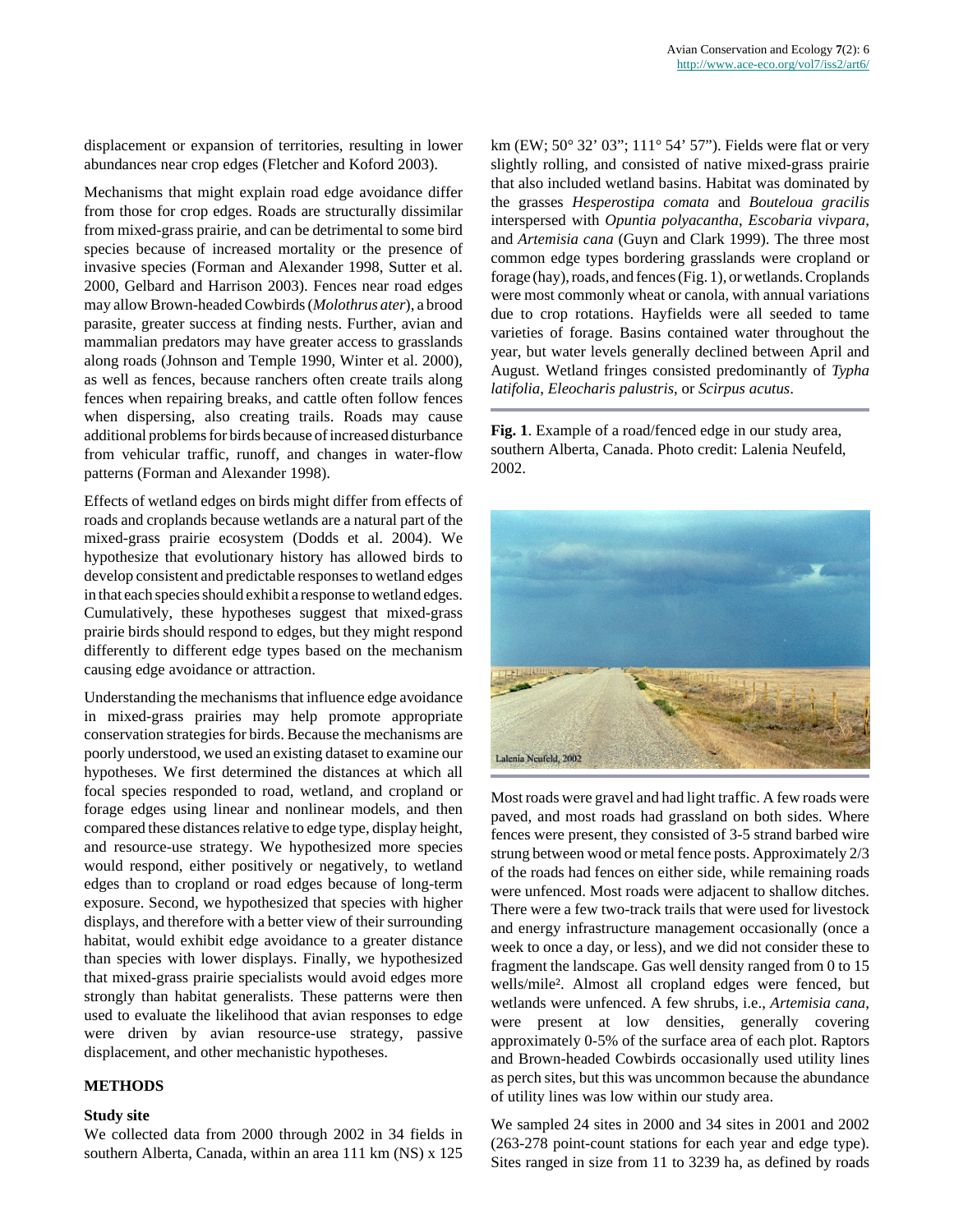displacement or expansion of territories, resulting in lower abundances near crop edges (Fletcher and Koford 2003).

Mechanisms that might explain road edge avoidance differ from those for crop edges. Roads are structurally dissimilar from mixed-grass prairie, and can be detrimental to some bird species because of increased mortality or the presence of invasive species (Forman and Alexander 1998, Sutter et al. 2000, Gelbard and Harrison 2003). Fences near road edges may allow Brown-headed Cowbirds (*Molothrus ater*), a brood parasite, greater success at finding nests. Further, avian and mammalian predators may have greater access to grasslands along roads (Johnson and Temple 1990, Winter et al. 2000), as well as fences, because ranchers often create trails along fences when repairing breaks, and cattle often follow fences when dispersing, also creating trails. Roads may cause additional problems for birds because of increased disturbance from vehicular traffic, runoff, and changes in water-flow patterns (Forman and Alexander 1998).

Effects of wetland edges on birds might differ from effects of roads and croplands because wetlands are a natural part of the mixed-grass prairie ecosystem (Dodds et al. 2004). We hypothesize that evolutionary history has allowed birds to develop consistent and predictable responses to wetland edges in that each species should exhibit a response to wetland edges. Cumulatively, these hypotheses suggest that mixed-grass prairie birds should respond to edges, but they might respond differently to different edge types based on the mechanism causing edge avoidance or attraction.

Understanding the mechanisms that influence edge avoidance in mixed-grass prairies may help promote appropriate conservation strategies for birds. Because the mechanisms are poorly understood, we used an existing dataset to examine our hypotheses. We first determined the distances at which all focal species responded to road, wetland, and cropland or forage edges using linear and nonlinear models, and then compared these distances relative to edge type, display height, and resource-use strategy. We hypothesized more species would respond, either positively or negatively, to wetland edges than to cropland or road edges because of long-term exposure. Second, we hypothesized that species with higher displays, and therefore with a better view of their surrounding habitat, would exhibit edge avoidance to a greater distance than species with lower displays. Finally, we hypothesized that mixed-grass prairie specialists would avoid edges more strongly than habitat generalists. These patterns were then used to evaluate the likelihood that avian responses to edge were driven by avian resource-use strategy, passive displacement, and other mechanistic hypotheses.

#### **METHODS**

#### **Study site**

We collected data from 2000 through 2002 in 34 fields in southern Alberta, Canada, within an area 111 km (NS) x 125 km (EW; 50° 32' 03"; 111° 54' 57"). Fields were flat or very slightly rolling, and consisted of native mixed-grass prairie that also included wetland basins. Habitat was dominated by the grasses *Hesperostipa comata* and *Bouteloua gracilis* interspersed with *Opuntia polyacantha*, *Escobaria vivpara*, and *Artemisia cana* (Guyn and Clark 1999). The three most common edge types bordering grasslands were cropland or forage (hay), roads, and fences (Fig. 1), or wetlands. Croplands were most commonly wheat or canola, with annual variations due to crop rotations. Hayfields were all seeded to tame varieties of forage. Basins contained water throughout the year, but water levels generally declined between April and August. Wetland fringes consisted predominantly of *Typha latifolia*, *Eleocharis palustris*, or *Scirpus acutus*.

**Fig. 1**. Example of a road/fenced edge in our study area, southern Alberta, Canada. Photo credit: Lalenia Neufeld, 2002.



Most roads were gravel and had light traffic. A few roads were paved, and most roads had grassland on both sides. Where fences were present, they consisted of 3-5 strand barbed wire strung between wood or metal fence posts. Approximately 2/3 of the roads had fences on either side, while remaining roads were unfenced. Most roads were adjacent to shallow ditches. There were a few two-track trails that were used for livestock and energy infrastructure management occasionally (once a week to once a day, or less), and we did not consider these to fragment the landscape. Gas well density ranged from 0 to 15 wells/mile². Almost all cropland edges were fenced, but wetlands were unfenced. A few shrubs, i.e., *Artemisia cana*, were present at low densities, generally covering approximately 0-5% of the surface area of each plot. Raptors and Brown-headed Cowbirds occasionally used utility lines as perch sites, but this was uncommon because the abundance of utility lines was low within our study area.

We sampled 24 sites in 2000 and 34 sites in 2001 and 2002 (263-278 point-count stations for each year and edge type). Sites ranged in size from 11 to 3239 ha, as defined by roads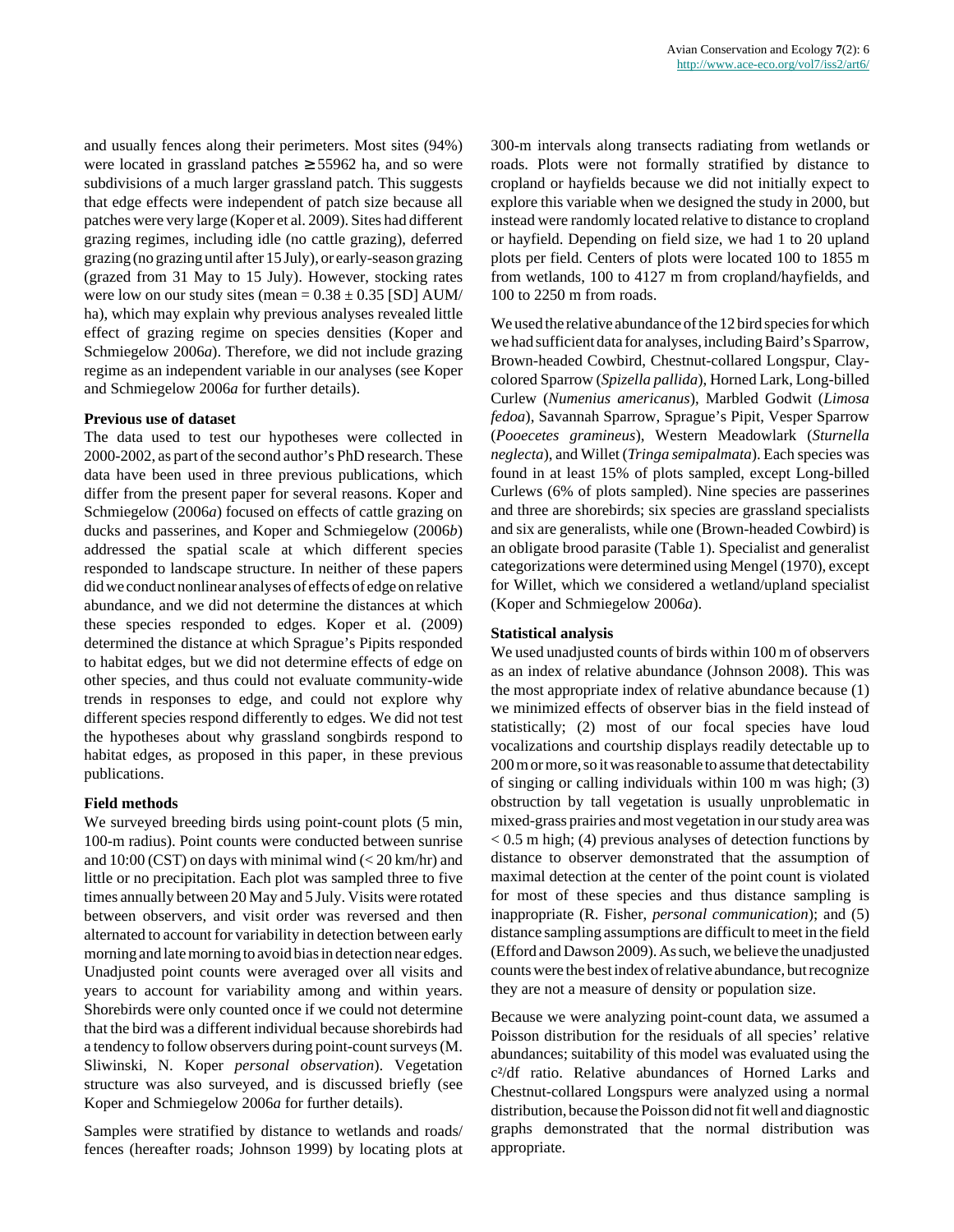and usually fences along their perimeters. Most sites (94%) were located in grassland patches  $\geq$  55962 ha, and so were subdivisions of a much larger grassland patch. This suggests that edge effects were independent of patch size because all patches were very large (Koper et al. 2009). Sites had different grazing regimes, including idle (no cattle grazing), deferred grazing (no grazing until after 15 July), or early-season grazing (grazed from 31 May to 15 July). However, stocking rates were low on our study sites (mean =  $0.38 \pm 0.35$  [SD] AUM/ ha), which may explain why previous analyses revealed little effect of grazing regime on species densities (Koper and Schmiegelow 2006*a*). Therefore, we did not include grazing regime as an independent variable in our analyses (see Koper and Schmiegelow 2006*a* for further details).

#### **Previous use of dataset**

The data used to test our hypotheses were collected in 2000-2002, as part of the second author's PhD research. These data have been used in three previous publications, which differ from the present paper for several reasons. Koper and Schmiegelow (2006*a*) focused on effects of cattle grazing on ducks and passerines, and Koper and Schmiegelow (2006*b*) addressed the spatial scale at which different species responded to landscape structure. In neither of these papers did we conduct nonlinear analyses of effects of edge on relative abundance, and we did not determine the distances at which these species responded to edges. Koper et al. (2009) determined the distance at which Sprague's Pipits responded to habitat edges, but we did not determine effects of edge on other species, and thus could not evaluate community-wide trends in responses to edge, and could not explore why different species respond differently to edges. We did not test the hypotheses about why grassland songbirds respond to habitat edges, as proposed in this paper, in these previous publications.

## **Field methods**

We surveyed breeding birds using point-count plots (5 min, 100-m radius). Point counts were conducted between sunrise and 10:00 (CST) on days with minimal wind (< 20 km/hr) and little or no precipitation. Each plot was sampled three to five times annually between 20 May and 5 July. Visits were rotated between observers, and visit order was reversed and then alternated to account for variability in detection between early morning and late morning to avoid bias in detection near edges. Unadjusted point counts were averaged over all visits and years to account for variability among and within years. Shorebirds were only counted once if we could not determine that the bird was a different individual because shorebirds had a tendency to follow observers during point-count surveys (M. Sliwinski, N. Koper *personal observation*). Vegetation structure was also surveyed, and is discussed briefly (see Koper and Schmiegelow 2006*a* for further details).

Samples were stratified by distance to wetlands and roads/ fences (hereafter roads; Johnson 1999) by locating plots at 300-m intervals along transects radiating from wetlands or roads. Plots were not formally stratified by distance to cropland or hayfields because we did not initially expect to explore this variable when we designed the study in 2000, but instead were randomly located relative to distance to cropland or hayfield. Depending on field size, we had 1 to 20 upland plots per field. Centers of plots were located 100 to 1855 m from wetlands, 100 to 4127 m from cropland/hayfields, and 100 to 2250 m from roads.

We used the relative abundance of the 12 bird species for which we had sufficient data for analyses, including Baird's Sparrow, Brown-headed Cowbird, Chestnut-collared Longspur, Claycolored Sparrow (*Spizella pallida*), Horned Lark, Long-billed Curlew (*Numenius americanus*), Marbled Godwit (*Limosa fedoa*), Savannah Sparrow, Sprague's Pipit, Vesper Sparrow (*Pooecetes gramineus*), Western Meadowlark (*Sturnella neglecta*), and Willet (*Tringa semipalmata*). Each species was found in at least 15% of plots sampled, except Long-billed Curlews (6% of plots sampled). Nine species are passerines and three are shorebirds; six species are grassland specialists and six are generalists, while one (Brown-headed Cowbird) is an obligate brood parasite (Table 1). Specialist and generalist categorizations were determined using Mengel (1970), except for Willet, which we considered a wetland/upland specialist (Koper and Schmiegelow 2006*a*).

## **Statistical analysis**

We used unadjusted counts of birds within 100 m of observers as an index of relative abundance (Johnson 2008). This was the most appropriate index of relative abundance because (1) we minimized effects of observer bias in the field instead of statistically; (2) most of our focal species have loud vocalizations and courtship displays readily detectable up to 200 m or more, so it was reasonable to assume that detectability of singing or calling individuals within 100 m was high; (3) obstruction by tall vegetation is usually unproblematic in mixed-grass prairies and most vegetation in our study area was < 0.5 m high; (4) previous analyses of detection functions by distance to observer demonstrated that the assumption of maximal detection at the center of the point count is violated for most of these species and thus distance sampling is inappropriate (R. Fisher, *personal communication*); and (5) distance sampling assumptions are difficult to meet in the field (Efford and Dawson 2009). As such, we believe the unadjusted counts were the best index of relative abundance, but recognize they are not a measure of density or population size.

Because we were analyzing point-count data, we assumed a Poisson distribution for the residuals of all species' relative abundances; suitability of this model was evaluated using the c²/df ratio. Relative abundances of Horned Larks and Chestnut-collared Longspurs were analyzed using a normal distribution, because the Poisson did not fit well and diagnostic graphs demonstrated that the normal distribution was appropriate.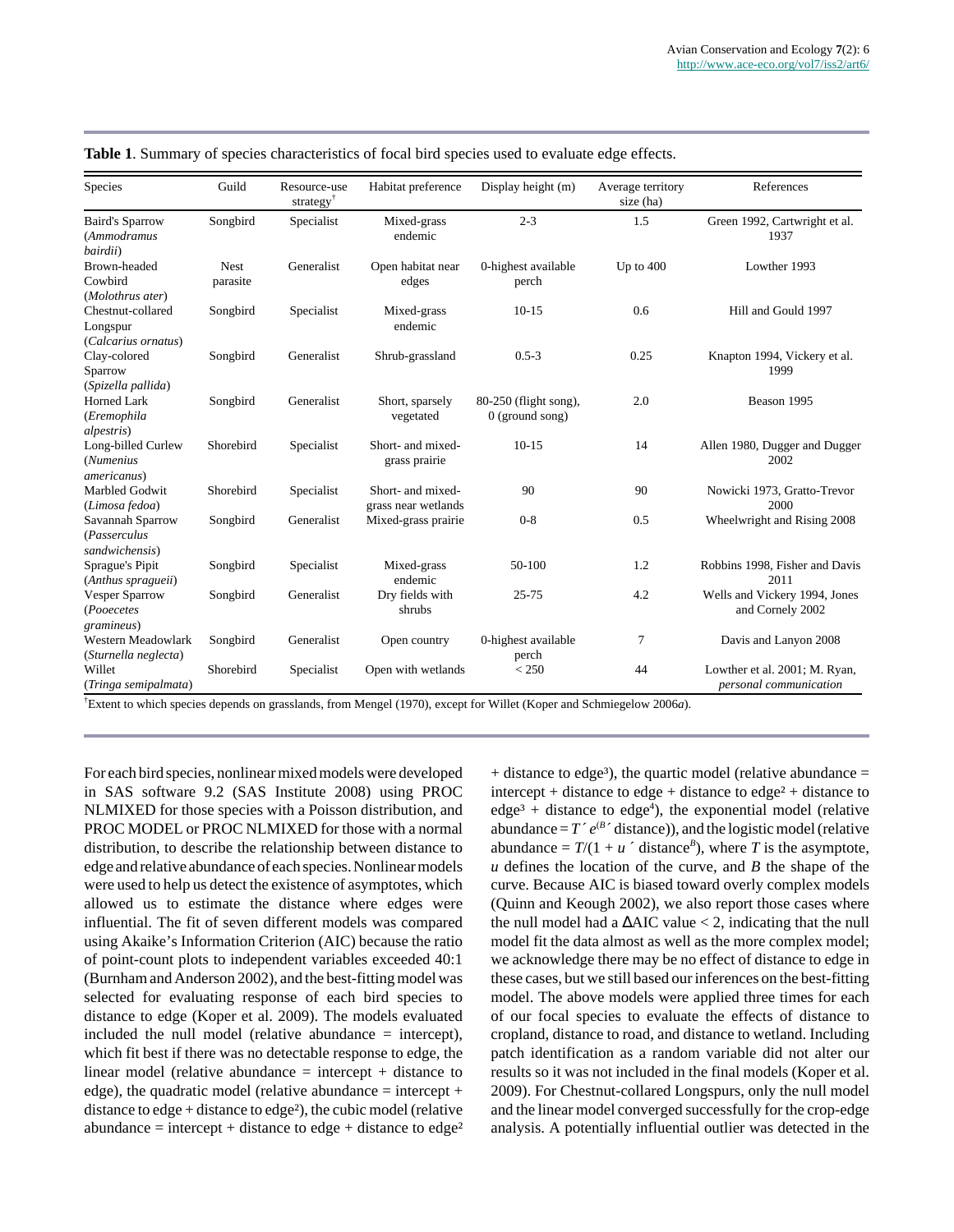| Species                                                                      | Guild                   | Resource-use<br>strategy | Habitat preference                       | Display height (m)                         | Average territory<br>size (ha) | References                                              |
|------------------------------------------------------------------------------|-------------------------|--------------------------|------------------------------------------|--------------------------------------------|--------------------------------|---------------------------------------------------------|
| <b>Baird's Sparrow</b><br>(Ammodramus<br>bairdii)                            | Songbird                | Specialist               | Mixed-grass<br>endemic                   | $2 - 3$                                    | 1.5                            | Green 1992, Cartwright et al.<br>1937                   |
| Brown-headed<br>Cowbird<br>(Molothrus ater)                                  | <b>Nest</b><br>parasite | Generalist               | Open habitat near<br>edges               | 0-highest available<br>perch               | Up to 400                      | Lowther 1993                                            |
| Chestnut-collared<br>Longspur<br>(Calcarius ornatus)                         | Songbird                | Specialist               | Mixed-grass<br>endemic                   | $10 - 15$                                  | 0.6                            | Hill and Gould 1997                                     |
| Clay-colored<br>Sparrow<br>(Spizella pallida)                                | Songbird                | Generalist               | Shrub-grassland                          | $0.5 - 3$                                  | 0.25                           | Knapton 1994, Vickery et al.<br>1999                    |
| <b>Horned Lark</b><br>(Eremophila                                            | Songbird                | Generalist               | Short, sparsely<br>vegetated             | 80-250 (flight song),<br>$0$ (ground song) | 2.0                            | Beason 1995                                             |
| <i>alpestris</i> )<br>Long-billed Curlew<br>(Numenius<br><i>americanus</i> ) | Shorebird               | Specialist               | Short- and mixed-<br>grass prairie       | $10-15$                                    | 14                             | Allen 1980, Dugger and Dugger<br>2002                   |
| Marbled Godwit<br>(Limosa fedoa)                                             | Shorebird               | Specialist               | Short- and mixed-<br>grass near wetlands | 90                                         | 90                             | Nowicki 1973, Gratto-Trevor<br>2000                     |
| Savannah Sparrow<br>(Passerculus<br>sandwichensis)                           | Songbird                | Generalist               | Mixed-grass prairie                      | $0 - 8$                                    | 0.5                            | Wheelwright and Rising 2008                             |
| Sprague's Pipit<br>(Anthus spragueii)                                        | Songbird                | Specialist               | Mixed-grass<br>endemic                   | 50-100                                     | 1.2                            | Robbins 1998, Fisher and Davis<br>2011                  |
| Vesper Sparrow<br>(Pooecetes<br>gramineus)                                   | Songbird                | Generalist               | Dry fields with<br>shrubs                | $25 - 75$                                  | 4.2                            | Wells and Vickery 1994, Jones<br>and Cornely 2002       |
| Western Meadowlark<br>(Sturnella neglecta)                                   | Songbird                | Generalist               | Open country                             | 0-highest available<br>perch               | 7                              | Davis and Lanyon 2008                                   |
| Willet<br>(Tringa semipalmata)                                               | Shorebird               | Specialist               | Open with wetlands                       | < 250                                      | 44                             | Lowther et al. 2001; M. Ryan,<br>personal communication |

**Table 1**. Summary of species characteristics of focal bird species used to evaluate edge effects.

† Extent to which species depends on grasslands, from Mengel (1970), except for Willet (Koper and Schmiegelow 2006*a*).

For each bird species, nonlinear mixed models were developed in SAS software 9.2 (SAS Institute 2008) using PROC NLMIXED for those species with a Poisson distribution, and PROC MODEL or PROC NLMIXED for those with a normal distribution, to describe the relationship between distance to edge and relative abundance of each species. Nonlinear models were used to help us detect the existence of asymptotes, which allowed us to estimate the distance where edges were influential. The fit of seven different models was compared using Akaike's Information Criterion (AIC) because the ratio of point-count plots to independent variables exceeded 40:1 (Burnham and Anderson 2002), and the best-fitting model was selected for evaluating response of each bird species to distance to edge (Koper et al. 2009). The models evaluated included the null model (relative abundance  $=$  intercept), which fit best if there was no detectable response to edge, the linear model (relative abundance  $=$  intercept  $+$  distance to edge), the quadratic model (relative abundance  $=$  intercept  $+$ distance to edge + distance to edge<sup>2</sup>), the cubic model (relative abundance = intercept + distance to edge + distance to edge<sup>2</sup>  $+$  distance to edge<sup>3</sup>), the quartic model (relative abundance  $=$ intercept + distance to edge + distance to edge<sup>2</sup> + distance to  $edge<sup>3</sup> + distance to edge<sup>4</sup>$ , the exponential model (relative abundance =  $T' e^{(B)}$  distance)), and the logistic model (relative abundance =  $T/(1 + u^{\prime})$  distance<sup>*B*</sup>), where *T* is the asymptote, *u* defines the location of the curve, and *B* the shape of the curve. Because AIC is biased toward overly complex models (Quinn and Keough 2002), we also report those cases where the null model had a ∆AIC value < 2, indicating that the null model fit the data almost as well as the more complex model; we acknowledge there may be no effect of distance to edge in these cases, but we still based our inferences on the best-fitting model. The above models were applied three times for each of our focal species to evaluate the effects of distance to cropland, distance to road, and distance to wetland. Including patch identification as a random variable did not alter our results so it was not included in the final models (Koper et al. 2009). For Chestnut-collared Longspurs, only the null model and the linear model converged successfully for the crop-edge analysis. A potentially influential outlier was detected in the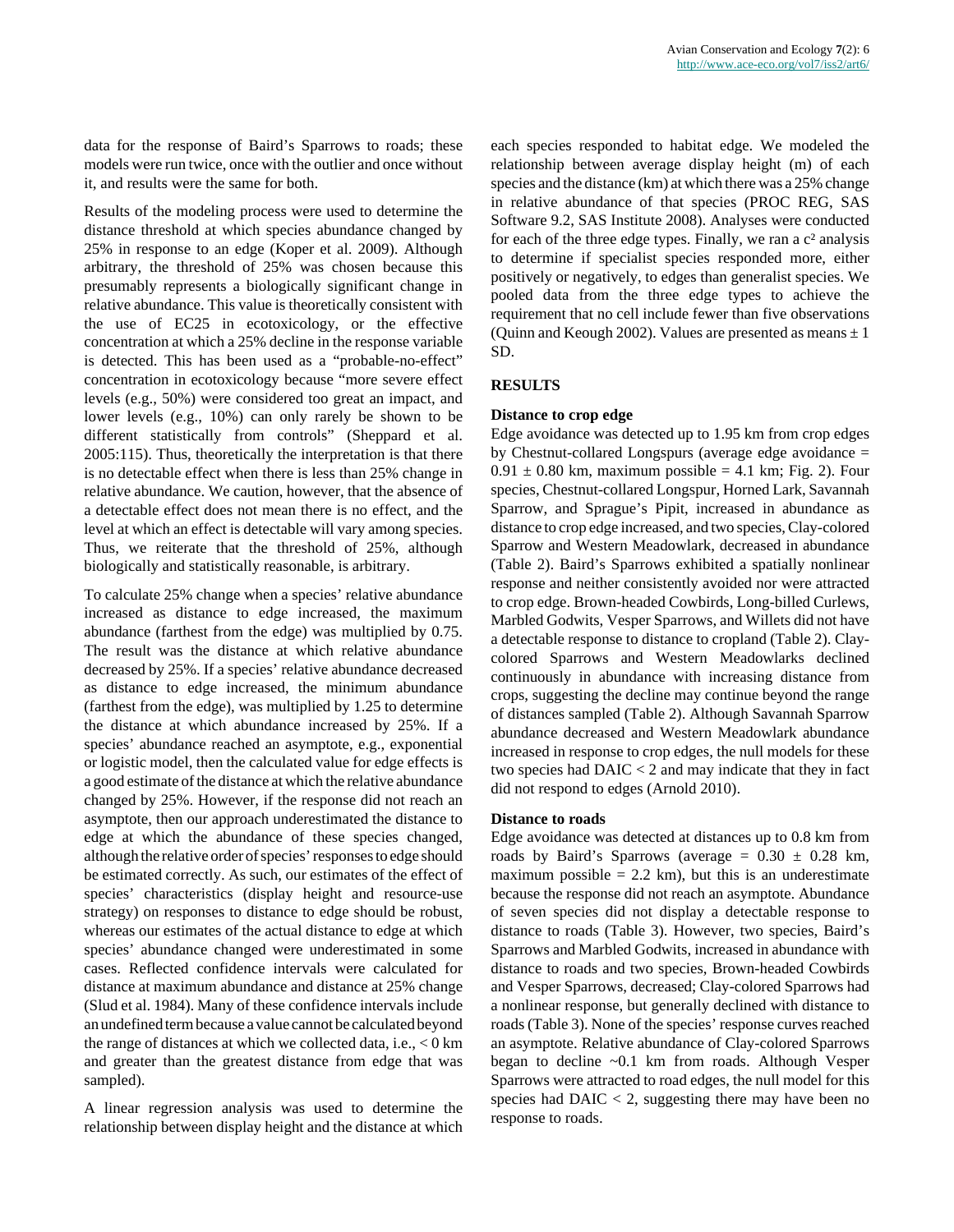data for the response of Baird's Sparrows to roads; these models were run twice, once with the outlier and once without it, and results were the same for both.

Results of the modeling process were used to determine the distance threshold at which species abundance changed by 25% in response to an edge (Koper et al. 2009). Although arbitrary, the threshold of 25% was chosen because this presumably represents a biologically significant change in relative abundance. This value is theoretically consistent with the use of EC25 in ecotoxicology, or the effective concentration at which a 25% decline in the response variable is detected. This has been used as a "probable-no-effect" concentration in ecotoxicology because "more severe effect levels (e.g., 50%) were considered too great an impact, and lower levels (e.g., 10%) can only rarely be shown to be different statistically from controls" (Sheppard et al. 2005:115). Thus, theoretically the interpretation is that there is no detectable effect when there is less than 25% change in relative abundance. We caution, however, that the absence of a detectable effect does not mean there is no effect, and the level at which an effect is detectable will vary among species. Thus, we reiterate that the threshold of 25%, although biologically and statistically reasonable, is arbitrary.

To calculate 25% change when a species' relative abundance increased as distance to edge increased, the maximum abundance (farthest from the edge) was multiplied by 0.75. The result was the distance at which relative abundance decreased by 25%. If a species' relative abundance decreased as distance to edge increased, the minimum abundance (farthest from the edge), was multiplied by 1.25 to determine the distance at which abundance increased by 25%. If a species' abundance reached an asymptote, e.g., exponential or logistic model, then the calculated value for edge effects is a good estimate of the distance at which the relative abundance changed by 25%. However, if the response did not reach an asymptote, then our approach underestimated the distance to edge at which the abundance of these species changed, although the relative order of species' responses to edge should be estimated correctly. As such, our estimates of the effect of species' characteristics (display height and resource-use strategy) on responses to distance to edge should be robust, whereas our estimates of the actual distance to edge at which species' abundance changed were underestimated in some cases. Reflected confidence intervals were calculated for distance at maximum abundance and distance at 25% change (Slud et al. 1984). Many of these confidence intervals include an undefined term because a value cannot be calculated beyond the range of distances at which we collected data, i.e.,  $< 0$  km and greater than the greatest distance from edge that was sampled).

A linear regression analysis was used to determine the relationship between display height and the distance at which each species responded to habitat edge. We modeled the relationship between average display height (m) of each species and the distance (km) at which there was a 25% change in relative abundance of that species (PROC REG, SAS Software 9.2, SAS Institute 2008). Analyses were conducted for each of the three edge types. Finally, we ran a  $c<sup>2</sup>$  analysis to determine if specialist species responded more, either positively or negatively, to edges than generalist species. We pooled data from the three edge types to achieve the requirement that no cell include fewer than five observations (Quinn and Keough 2002). Values are presented as means  $\pm 1$ SD.

## **RESULTS**

#### **Distance to crop edge**

Edge avoidance was detected up to 1.95 km from crop edges by Chestnut-collared Longspurs (average edge avoidance =  $0.91 \pm 0.80$  km, maximum possible = 4.1 km; Fig. 2). Four species, Chestnut-collared Longspur, Horned Lark, Savannah Sparrow, and Sprague's Pipit, increased in abundance as distance to crop edge increased, and two species, Clay-colored Sparrow and Western Meadowlark, decreased in abundance (Table 2). Baird's Sparrows exhibited a spatially nonlinear response and neither consistently avoided nor were attracted to crop edge. Brown-headed Cowbirds, Long-billed Curlews, Marbled Godwits, Vesper Sparrows, and Willets did not have a detectable response to distance to cropland (Table 2). Claycolored Sparrows and Western Meadowlarks declined continuously in abundance with increasing distance from crops, suggesting the decline may continue beyond the range of distances sampled (Table 2). Although Savannah Sparrow abundance decreased and Western Meadowlark abundance increased in response to crop edges, the null models for these two species had DAIC < 2 and may indicate that they in fact did not respond to edges (Arnold 2010).

#### **Distance to roads**

Edge avoidance was detected at distances up to 0.8 km from roads by Baird's Sparrows (average =  $0.30 \pm 0.28$  km, maximum possible  $= 2.2$  km), but this is an underestimate because the response did not reach an asymptote. Abundance of seven species did not display a detectable response to distance to roads (Table 3). However, two species, Baird's Sparrows and Marbled Godwits, increased in abundance with distance to roads and two species, Brown-headed Cowbirds and Vesper Sparrows, decreased; Clay-colored Sparrows had a nonlinear response, but generally declined with distance to roads (Table 3). None of the species' response curves reached an asymptote. Relative abundance of Clay-colored Sparrows began to decline ~0.1 km from roads. Although Vesper Sparrows were attracted to road edges, the null model for this species had  $DAIC < 2$ , suggesting there may have been no response to roads.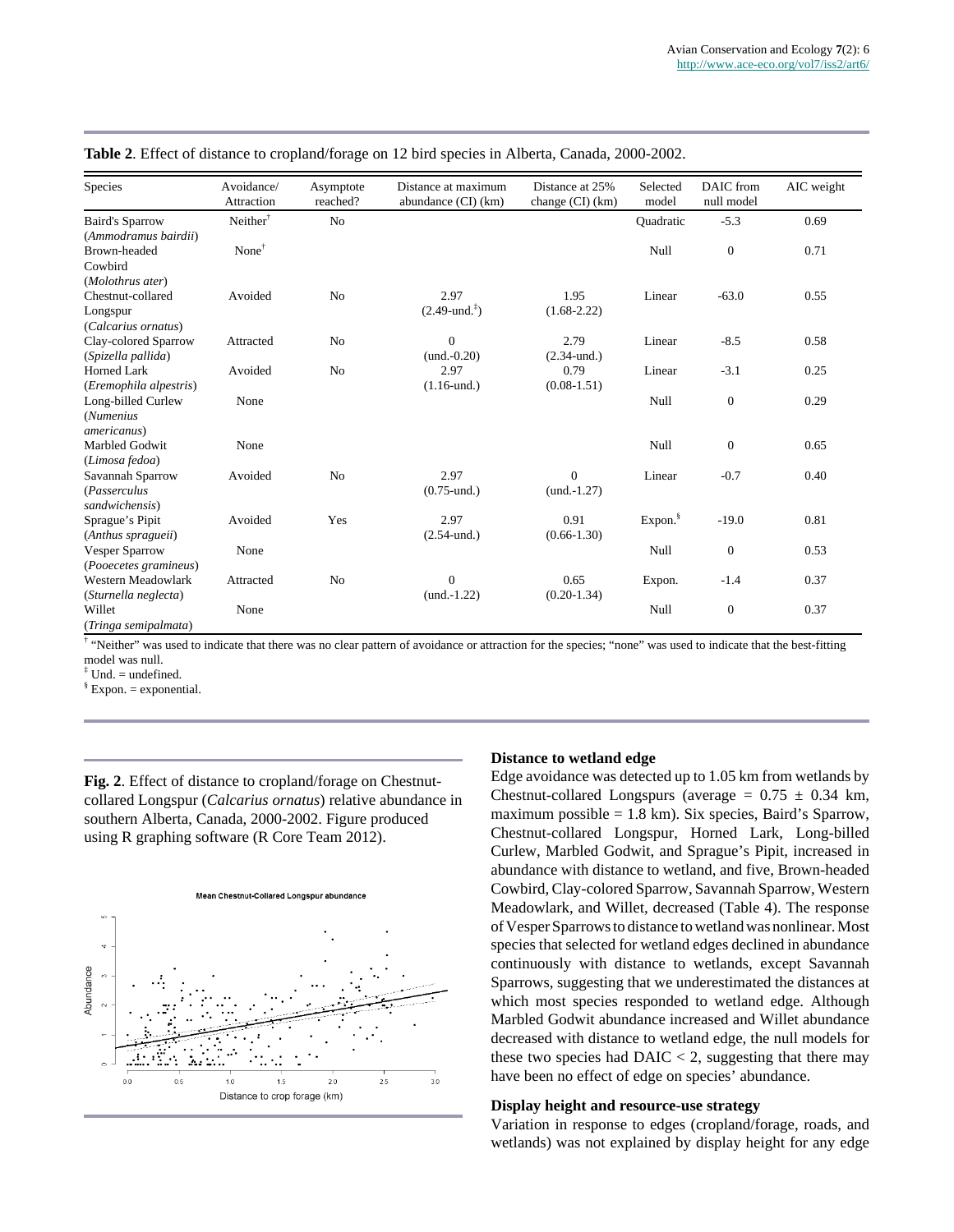| Species                | Avoidance/<br>Attraction | Asymptote<br>reached? | Distance at maximum<br>abundance (CI) (km)      | Distance at 25%<br>change (CI) (km) | Selected<br>model   | DAIC from<br>null model | AIC weight |
|------------------------|--------------------------|-----------------------|-------------------------------------------------|-------------------------------------|---------------------|-------------------------|------------|
| <b>Baird's Sparrow</b> | Neither <sup>†</sup>     | N <sub>o</sub>        |                                                 |                                     | Ouadratic           | $-5.3$                  | 0.69       |
| (Ammodramus bairdii)   |                          |                       |                                                 |                                     |                     |                         |            |
| Brown-headed           | $\text{None}^{\dagger}$  |                       |                                                 |                                     | Null                | $\mathbf{0}$            | 0.71       |
| Cowbird                |                          |                       |                                                 |                                     |                     |                         |            |
| (Molothrus ater)       |                          |                       |                                                 |                                     |                     |                         |            |
| Chestnut-collared      | Avoided                  | N <sub>o</sub>        | 2.97                                            | 1.95                                | Linear              | $-63.0$                 | 0.55       |
| Longspur               |                          |                       | $(2.49$ -und. <sup><math>\ddagger)</math></sup> | $(1.68 - 2.22)$                     |                     |                         |            |
| (Calcarius ornatus)    |                          |                       |                                                 |                                     |                     |                         |            |
| Clay-colored Sparrow   | Attracted                | No                    | $\mathbf{0}$                                    | 2.79                                | Linear              | $-8.5$                  | 0.58       |
| (Spizella pallida)     |                          |                       | $($ und. $-0.20)$                               | $(2.34$ -und.)                      |                     |                         |            |
| <b>Horned Lark</b>     | Avoided                  | No                    | 2.97                                            | 0.79                                | Linear              | $-3.1$                  | 0.25       |
| (Eremophila alpestris) |                          |                       | $(1.16$ -und.)                                  | $(0.08-1.51)$                       |                     |                         |            |
| Long-billed Curlew     | None                     |                       |                                                 |                                     | Null                | $\mathbf{0}$            | 0.29       |
| (Numenius              |                          |                       |                                                 |                                     |                     |                         |            |
| <i>americanus</i> )    |                          |                       |                                                 |                                     |                     |                         |            |
| Marbled Godwit         | None                     |                       |                                                 |                                     | Null                | $\overline{0}$          | 0.65       |
| (Limosa fedoa)         |                          |                       |                                                 |                                     |                     |                         |            |
| Savannah Sparrow       | Avoided                  | N <sub>o</sub>        | 2.97                                            | $\Omega$                            | Linear              | $-0.7$                  | 0.40       |
| (Passerculus           |                          |                       | $(0.75$ -und.)                                  | $(und.-1.27)$                       |                     |                         |            |
| sandwichensis)         |                          |                       |                                                 |                                     |                     |                         |            |
| Sprague's Pipit        | Avoided                  | Yes                   | 2.97                                            | 0.91                                | Expon. <sup>§</sup> | $-19.0$                 | 0.81       |
| (Anthus spragueii)     |                          |                       | $(2.54$ -und.)                                  | $(0.66 - 1.30)$                     |                     |                         |            |
| <b>Vesper Sparrow</b>  | None                     |                       |                                                 |                                     | Null                | $\theta$                | 0.53       |
| (Pooecetes gramineus)  |                          |                       |                                                 |                                     |                     |                         |            |
| Western Meadowlark     | Attracted                | N <sub>o</sub>        | $\mathbf{0}$                                    | 0.65                                | Expon.              | $-1.4$                  | 0.37       |
| (Sturnella neglecta)   |                          |                       | $(und.-1.22)$                                   | $(0.20 - 1.34)$                     |                     |                         |            |
| Willet                 | None                     |                       |                                                 |                                     | Null                | $\theta$                | 0.37       |
| (Tringa semipalmata)   |                          |                       |                                                 |                                     |                     |                         |            |

**Table 2**. Effect of distance to cropland/forage on 12 bird species in Alberta, Canada, 2000-2002.

† "Neither" was used to indicate that there was no clear pattern of avoidance or attraction for the species; "none" was used to indicate that the best-fitting model was null.

‡ Und. = undefined.

§ Expon. = exponential.

**Fig. 2**. Effect of distance to cropland/forage on Chestnutcollared Longspur (*Calcarius ornatus*) relative abundance in southern Alberta, Canada, 2000-2002. Figure produced using R graphing software (R Core Team 2012).



#### **Distance to wetland edge**

Edge avoidance was detected up to 1.05 km from wetlands by Chestnut-collared Longspurs (average =  $0.75 \pm 0.34$  km, maximum possible = 1.8 km). Six species, Baird's Sparrow, Chestnut-collared Longspur, Horned Lark, Long-billed Curlew, Marbled Godwit, and Sprague's Pipit, increased in abundance with distance to wetland, and five, Brown-headed Cowbird, Clay-colored Sparrow, Savannah Sparrow, Western Meadowlark, and Willet, decreased (Table 4). The response of Vesper Sparrows to distance to wetland was nonlinear. Most species that selected for wetland edges declined in abundance continuously with distance to wetlands, except Savannah Sparrows, suggesting that we underestimated the distances at which most species responded to wetland edge. Although Marbled Godwit abundance increased and Willet abundance decreased with distance to wetland edge, the null models for these two species had  $DAIC < 2$ , suggesting that there may have been no effect of edge on species' abundance.

## **Display height and resource-use strategy**

Variation in response to edges (cropland/forage, roads, and wetlands) was not explained by display height for any edge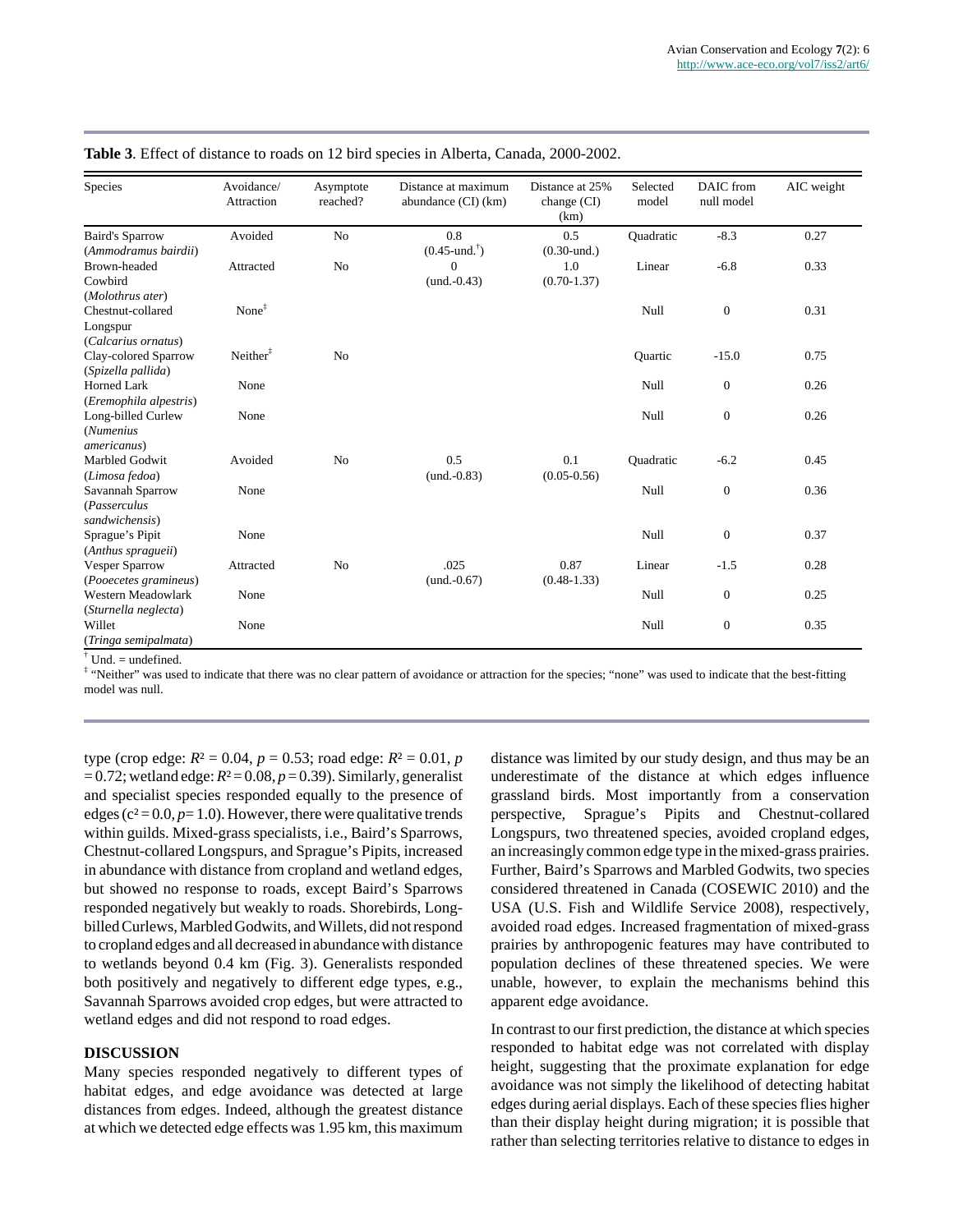| Species                                                                  | Avoidance/<br>Attraction | Asymptote<br>reached? | Distance at maximum<br>abundance (CI) (km)  | Distance at 25%<br>change (CI)<br>(km) | Selected<br>model | DAIC from<br>null model | AIC weight |
|--------------------------------------------------------------------------|--------------------------|-----------------------|---------------------------------------------|----------------------------------------|-------------------|-------------------------|------------|
| <b>Baird's Sparrow</b><br>(Ammodramus bairdii)                           | Avoided                  | N <sub>o</sub>        | 0.8<br>$(0.45 \text{-}$ und. <sup>†</sup> ) | 0.5<br>$(0.30$ -und.)                  | Quadratic         | $-8.3$                  | 0.27       |
| Brown-headed<br>Cowbird                                                  | Attracted                | No                    | $\Omega$<br>$($ und. $-0.43)$               | 1.0<br>$(0.70 - 1.37)$                 | Linear            | $-6.8$                  | 0.33       |
| (Molothrus ater)<br>Chestnut-collared<br>Longspur                        | None $†$                 |                       |                                             |                                        | Null              | $\boldsymbol{0}$        | 0.31       |
| (Calcarius ornatus)<br>Clay-colored Sparrow<br>(Spizella pallida)        | Neither <sup>1</sup>     | No                    |                                             |                                        | Ouartic           | $-15.0$                 | 0.75       |
| Horned Lark                                                              | None                     |                       |                                             |                                        | Null              | $\boldsymbol{0}$        | 0.26       |
| (Eremophila alpestris)<br>Long-billed Curlew<br>(Numenius<br>americanus) | None                     |                       |                                             |                                        | Null              | $\mathbf{0}$            | 0.26       |
| Marbled Godwit                                                           | Avoided                  | N <sub>o</sub>        | 0.5                                         | 0.1                                    | Quadratic         | $-6.2$                  | 0.45       |
| (Limosa fedoa)<br>Savannah Sparrow<br>(Passerculus                       | None                     |                       | $($ und. $-0.83)$                           | $(0.05 - 0.56)$                        | Null              | $\overline{0}$          | 0.36       |
| sandwichensis)<br>Sprague's Pipit<br>(Anthus spragueii)                  | None                     |                       |                                             |                                        | Null              | $\overline{0}$          | 0.37       |
| <b>Vesper Sparrow</b>                                                    | Attracted                | No                    | .025                                        | 0.87                                   | Linear            | $-1.5$                  | 0.28       |
| (Pooecetes gramineus)<br>Western Meadowlark<br>(Sturnella neglecta)      | None                     |                       | $($ und. $-0.67)$                           | $(0.48-1.33)$                          | <b>Null</b>       | $\boldsymbol{0}$        | 0.25       |
| Willet<br>(Tringa semipalmata)                                           | None                     |                       |                                             |                                        | Null              | $\mathbf{0}$            | 0.35       |

#### **Table 3**. Effect of distance to roads on 12 bird species in Alberta, Canada, 2000-2002.

 $\dagger$  Und. = undefined.

‡ "Neither" was used to indicate that there was no clear pattern of avoidance or attraction for the species; "none" was used to indicate that the best-fitting model was null.

type (crop edge:  $R^2 = 0.04$ ,  $p = 0.53$ ; road edge:  $R^2 = 0.01$ ,  $p$  $= 0.72$ ; wetland edge:  $R<sup>2</sup> = 0.08$ ,  $p = 0.39$ ). Similarly, generalist and specialist species responded equally to the presence of edges ( $c^2$ =0.0,  $p$ =1.0). However, there were qualitative trends within guilds. Mixed-grass specialists, i.e., Baird's Sparrows, Chestnut-collared Longspurs, and Sprague's Pipits, increased in abundance with distance from cropland and wetland edges, but showed no response to roads, except Baird's Sparrows responded negatively but weakly to roads. Shorebirds, Longbilled Curlews, Marbled Godwits, and Willets, did not respond to cropland edges and all decreased in abundance with distance to wetlands beyond 0.4 km (Fig. 3). Generalists responded both positively and negatively to different edge types, e.g., Savannah Sparrows avoided crop edges, but were attracted to wetland edges and did not respond to road edges.

#### **DISCUSSION**

Many species responded negatively to different types of habitat edges, and edge avoidance was detected at large distances from edges. Indeed, although the greatest distance at which we detected edge effects was 1.95 km, this maximum distance was limited by our study design, and thus may be an underestimate of the distance at which edges influence grassland birds. Most importantly from a conservation perspective, Sprague's Pipits and Chestnut-collared Longspurs, two threatened species, avoided cropland edges, an increasingly common edge type in the mixed-grass prairies. Further, Baird's Sparrows and Marbled Godwits, two species considered threatened in Canada (COSEWIC 2010) and the USA (U.S. Fish and Wildlife Service 2008), respectively, avoided road edges. Increased fragmentation of mixed-grass prairies by anthropogenic features may have contributed to population declines of these threatened species. We were unable, however, to explain the mechanisms behind this apparent edge avoidance.

In contrast to our first prediction, the distance at which species responded to habitat edge was not correlated with display height, suggesting that the proximate explanation for edge avoidance was not simply the likelihood of detecting habitat edges during aerial displays. Each of these species flies higher than their display height during migration; it is possible that rather than selecting territories relative to distance to edges in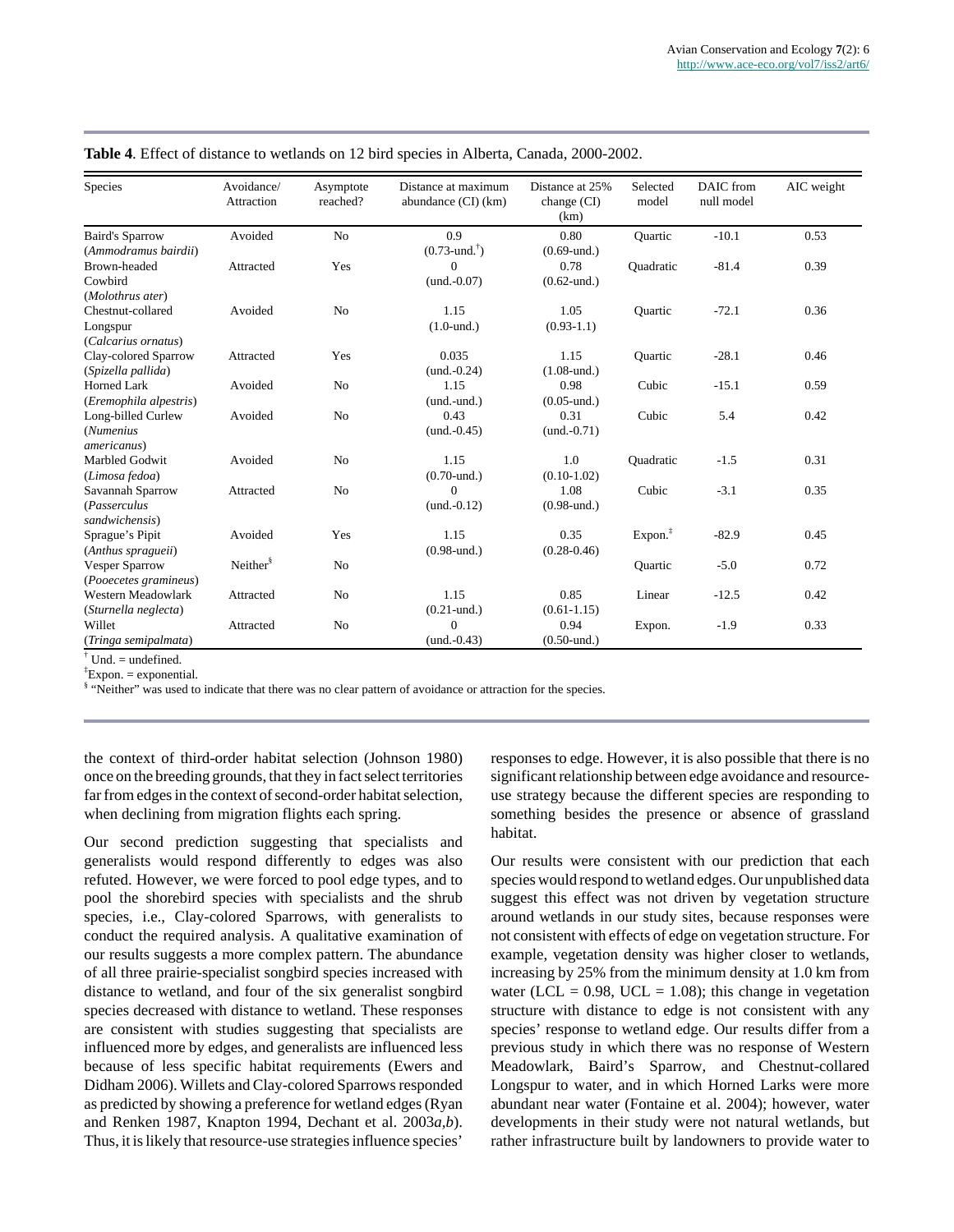| Species                          | Avoidance/<br>Attraction | Asymptote<br>reached? | Distance at maximum<br>abundance (CI) (km)      | Distance at 25%<br>change $(CI)$<br>(km) | Selected<br>model   | DAIC from<br>null model | AIC weight |
|----------------------------------|--------------------------|-----------------------|-------------------------------------------------|------------------------------------------|---------------------|-------------------------|------------|
| <b>Baird's Sparrow</b>           | Avoided                  | N <sub>o</sub>        | 0.9                                             | 0.80                                     | <b>Ouartic</b>      | $-10.1$                 | 0.53       |
| (Ammodramus bairdii)             |                          |                       | $(0.73$ -und. <sup><math>\bar{t}</math></sup> ) | $(0.69$ -und.)                           |                     |                         |            |
| Brown-headed                     | Attracted                | Yes                   | $\Omega$                                        | 0.78                                     | <b>Ouadratic</b>    | $-81.4$                 | 0.39       |
| Cowbird                          |                          |                       | $($ und. $-0.07)$                               | $(0.62$ -und.)                           |                     |                         |            |
| (Molothrus ater)                 |                          |                       |                                                 |                                          |                     |                         |            |
| Chestnut-collared                | Avoided                  | N <sub>0</sub>        | 1.15                                            | 1.05                                     | <b>Ouartic</b>      | $-72.1$                 | 0.36       |
| Longspur                         |                          |                       | $(1.0$ -und.)                                   | $(0.93-1.1)$                             |                     |                         |            |
| (Calcarius ornatus)              |                          |                       |                                                 |                                          |                     |                         |            |
| Clay-colored Sparrow             | Attracted                | Yes                   | 0.035                                           | 1.15                                     | <b>Ouartic</b>      | $-28.1$                 | 0.46       |
| (Spizella pallida)               |                          |                       | $($ und. $-0.24)$                               | $(1.08$ -und.)                           |                     |                         |            |
| Horned Lark                      | Avoided                  | N <sub>o</sub>        | 1.15                                            | 0.98                                     | Cubic               | $-15.1$                 | 0.59       |
| (Eremophila alpestris)           |                          |                       | $(und.-und.)$                                   | $(0.05$ -und.)                           |                     |                         |            |
| Long-billed Curlew               | Avoided                  | N <sub>0</sub>        | 0.43                                            | 0.31                                     | Cubic               | 5.4                     | 0.42       |
| (Numenius<br><i>americanus</i> ) |                          |                       | $($ und. $-0.45)$                               | $(und.-0.71)$                            |                     |                         |            |
| Marbled Godwit                   | Avoided                  | No                    | 1.15                                            | 1.0                                      | <b>Quadratic</b>    | $-1.5$                  | 0.31       |
| (Limosa fedoa)                   |                          |                       | $(0.70$ -und.)                                  | $(0.10-1.02)$                            |                     |                         |            |
| Savannah Sparrow                 | Attracted                | N <sub>0</sub>        | $\mathbf{0}$                                    | 1.08                                     | Cubic               | $-3.1$                  | 0.35       |
| (Passerculus                     |                          |                       | $($ und. $-0.12)$                               | $(0.98$ -und.)                           |                     |                         |            |
| sandwichensis)                   |                          |                       |                                                 |                                          |                     |                         |            |
| Sprague's Pipit                  | Avoided                  | Yes                   | 1.15                                            | 0.35                                     | Expon. <sup>†</sup> | $-82.9$                 | 0.45       |
| (Anthus spragueii)               |                          |                       | $(0.98$ -und.)                                  | $(0.28 - 0.46)$                          |                     |                         |            |
| Vesper Sparrow                   | Neither $\delta$         | N <sub>0</sub>        |                                                 |                                          | Ouartic             | $-5.0$                  | 0.72       |
| (Pooecetes gramineus)            |                          |                       |                                                 |                                          |                     |                         |            |
| Western Meadowlark               | Attracted                | N <sub>0</sub>        | 1.15                                            | 0.85                                     | Linear              | $-12.5$                 | 0.42       |
| (Sturnella neglecta)             |                          |                       | $(0.21$ -und.)                                  | $(0.61 - 1.15)$                          |                     |                         |            |
| Willet                           | Attracted                | N <sub>0</sub>        | $\Omega$                                        | 0.94                                     | Expon.              | $-1.9$                  | 0.33       |
| (Tringa semipalmata)             |                          |                       | $($ und. $-0.43)$                               | $(0.50$ -und.)                           |                     |                         |            |

**Table 4**. Effect of distance to wetlands on 12 bird species in Alberta, Canada, 2000-2002.

 $\dagger$  Und. = undefined.

‡ Expon. = exponential.

<sup>§</sup> "Neither" was used to indicate that there was no clear pattern of avoidance or attraction for the species.

the context of third-order habitat selection (Johnson 1980) once on the breeding grounds, that they in fact select territories far from edges in the context of second-order habitat selection, when declining from migration flights each spring.

Our second prediction suggesting that specialists and generalists would respond differently to edges was also refuted. However, we were forced to pool edge types, and to pool the shorebird species with specialists and the shrub species, i.e., Clay-colored Sparrows, with generalists to conduct the required analysis. A qualitative examination of our results suggests a more complex pattern. The abundance of all three prairie-specialist songbird species increased with distance to wetland, and four of the six generalist songbird species decreased with distance to wetland. These responses are consistent with studies suggesting that specialists are influenced more by edges, and generalists are influenced less because of less specific habitat requirements (Ewers and Didham 2006). Willets and Clay-colored Sparrows responded as predicted by showing a preference for wetland edges (Ryan and Renken 1987, Knapton 1994, Dechant et al. 2003*a,b*). Thus, it is likely that resource-use strategies influence species' responses to edge. However, it is also possible that there is no significant relationship between edge avoidance and resourceuse strategy because the different species are responding to something besides the presence or absence of grassland habitat.

Our results were consistent with our prediction that each species would respond to wetland edges. Our unpublished data suggest this effect was not driven by vegetation structure around wetlands in our study sites, because responses were not consistent with effects of edge on vegetation structure. For example, vegetation density was higher closer to wetlands, increasing by 25% from the minimum density at 1.0 km from water (LCL =  $0.98$ , UCL =  $1.08$ ); this change in vegetation structure with distance to edge is not consistent with any species' response to wetland edge. Our results differ from a previous study in which there was no response of Western Meadowlark, Baird's Sparrow, and Chestnut-collared Longspur to water, and in which Horned Larks were more abundant near water (Fontaine et al. 2004); however, water developments in their study were not natural wetlands, but rather infrastructure built by landowners to provide water to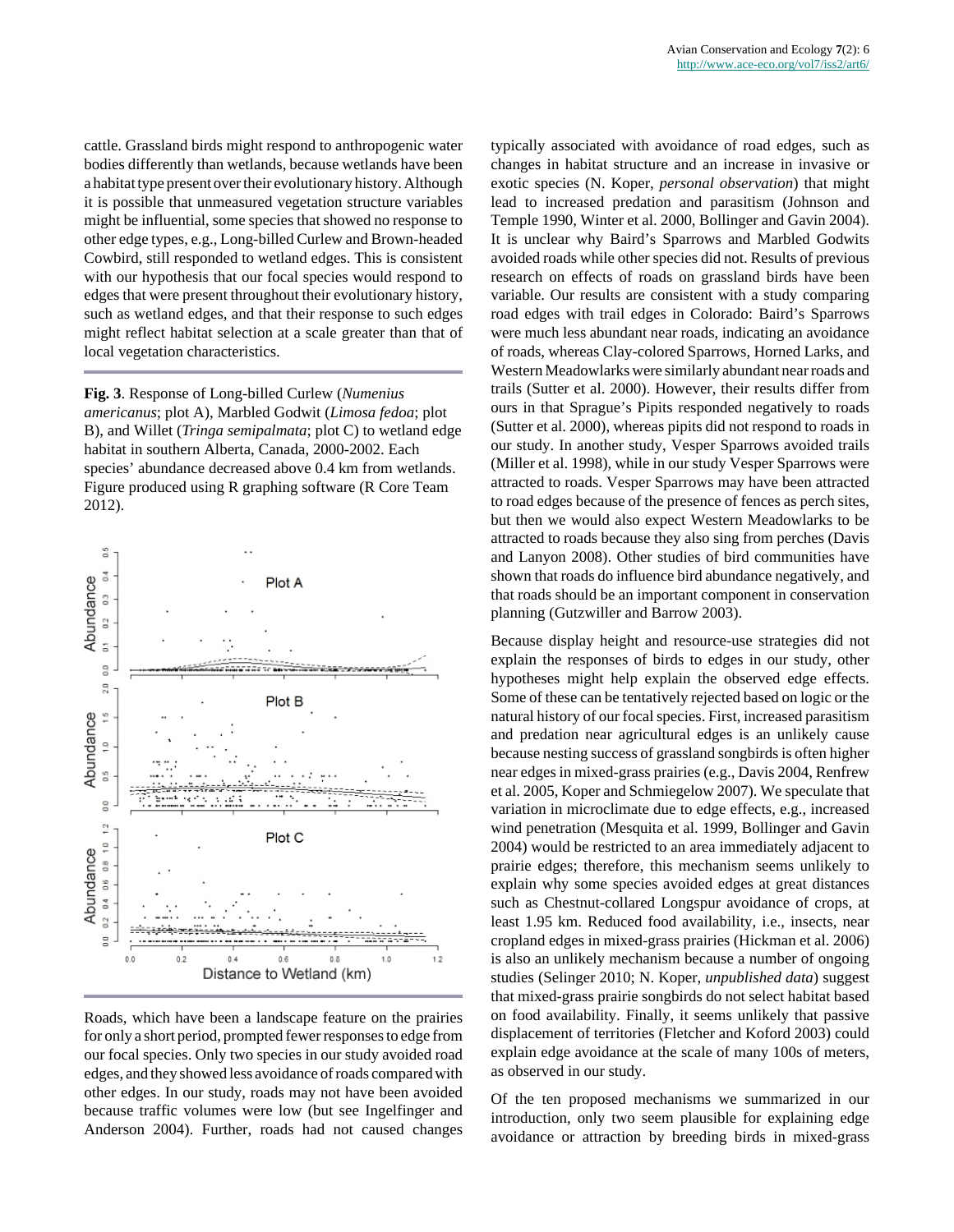cattle. Grassland birds might respond to anthropogenic water bodies differently than wetlands, because wetlands have been a habitat type present over their evolutionary history. Although it is possible that unmeasured vegetation structure variables might be influential, some species that showed no response to other edge types, e.g., Long-billed Curlew and Brown-headed Cowbird, still responded to wetland edges. This is consistent with our hypothesis that our focal species would respond to edges that were present throughout their evolutionary history, such as wetland edges, and that their response to such edges might reflect habitat selection at a scale greater than that of local vegetation characteristics.

**Fig. 3**. Response of Long-billed Curlew (*Numenius americanus*; plot A), Marbled Godwit (*Limosa fedoa*; plot B), and Willet (*Tringa semipalmata*; plot C) to wetland edge habitat in southern Alberta, Canada, 2000-2002. Each species' abundance decreased above 0.4 km from wetlands. Figure produced using R graphing software (R Core Team 2012).



Roads, which have been a landscape feature on the prairies for only a short period, prompted fewer responses to edge from our focal species. Only two species in our study avoided road edges, and they showed less avoidance of roads compared with other edges. In our study, roads may not have been avoided because traffic volumes were low (but see Ingelfinger and Anderson 2004). Further, roads had not caused changes typically associated with avoidance of road edges, such as changes in habitat structure and an increase in invasive or exotic species (N. Koper, *personal observation*) that might lead to increased predation and parasitism (Johnson and Temple 1990, Winter et al. 2000, Bollinger and Gavin 2004). It is unclear why Baird's Sparrows and Marbled Godwits avoided roads while other species did not. Results of previous research on effects of roads on grassland birds have been variable. Our results are consistent with a study comparing road edges with trail edges in Colorado: Baird's Sparrows were much less abundant near roads, indicating an avoidance of roads, whereas Clay-colored Sparrows, Horned Larks, and Western Meadowlarks were similarly abundant near roads and trails (Sutter et al. 2000). However, their results differ from ours in that Sprague's Pipits responded negatively to roads (Sutter et al. 2000), whereas pipits did not respond to roads in our study. In another study, Vesper Sparrows avoided trails (Miller et al. 1998), while in our study Vesper Sparrows were attracted to roads. Vesper Sparrows may have been attracted to road edges because of the presence of fences as perch sites, but then we would also expect Western Meadowlarks to be attracted to roads because they also sing from perches (Davis and Lanyon 2008). Other studies of bird communities have shown that roads do influence bird abundance negatively, and that roads should be an important component in conservation planning (Gutzwiller and Barrow 2003).

Because display height and resource-use strategies did not explain the responses of birds to edges in our study, other hypotheses might help explain the observed edge effects. Some of these can be tentatively rejected based on logic or the natural history of our focal species. First, increased parasitism and predation near agricultural edges is an unlikely cause because nesting success of grassland songbirds is often higher near edges in mixed-grass prairies (e.g., Davis 2004, Renfrew et al. 2005, Koper and Schmiegelow 2007). We speculate that variation in microclimate due to edge effects, e.g., increased wind penetration (Mesquita et al. 1999, Bollinger and Gavin 2004) would be restricted to an area immediately adjacent to prairie edges; therefore, this mechanism seems unlikely to explain why some species avoided edges at great distances such as Chestnut-collared Longspur avoidance of crops, at least 1.95 km. Reduced food availability, i.e., insects, near cropland edges in mixed-grass prairies (Hickman et al. 2006) is also an unlikely mechanism because a number of ongoing studies (Selinger 2010; N. Koper, *unpublished data*) suggest that mixed-grass prairie songbirds do not select habitat based on food availability. Finally, it seems unlikely that passive displacement of territories (Fletcher and Koford 2003) could explain edge avoidance at the scale of many 100s of meters, as observed in our study.

Of the ten proposed mechanisms we summarized in our introduction, only two seem plausible for explaining edge avoidance or attraction by breeding birds in mixed-grass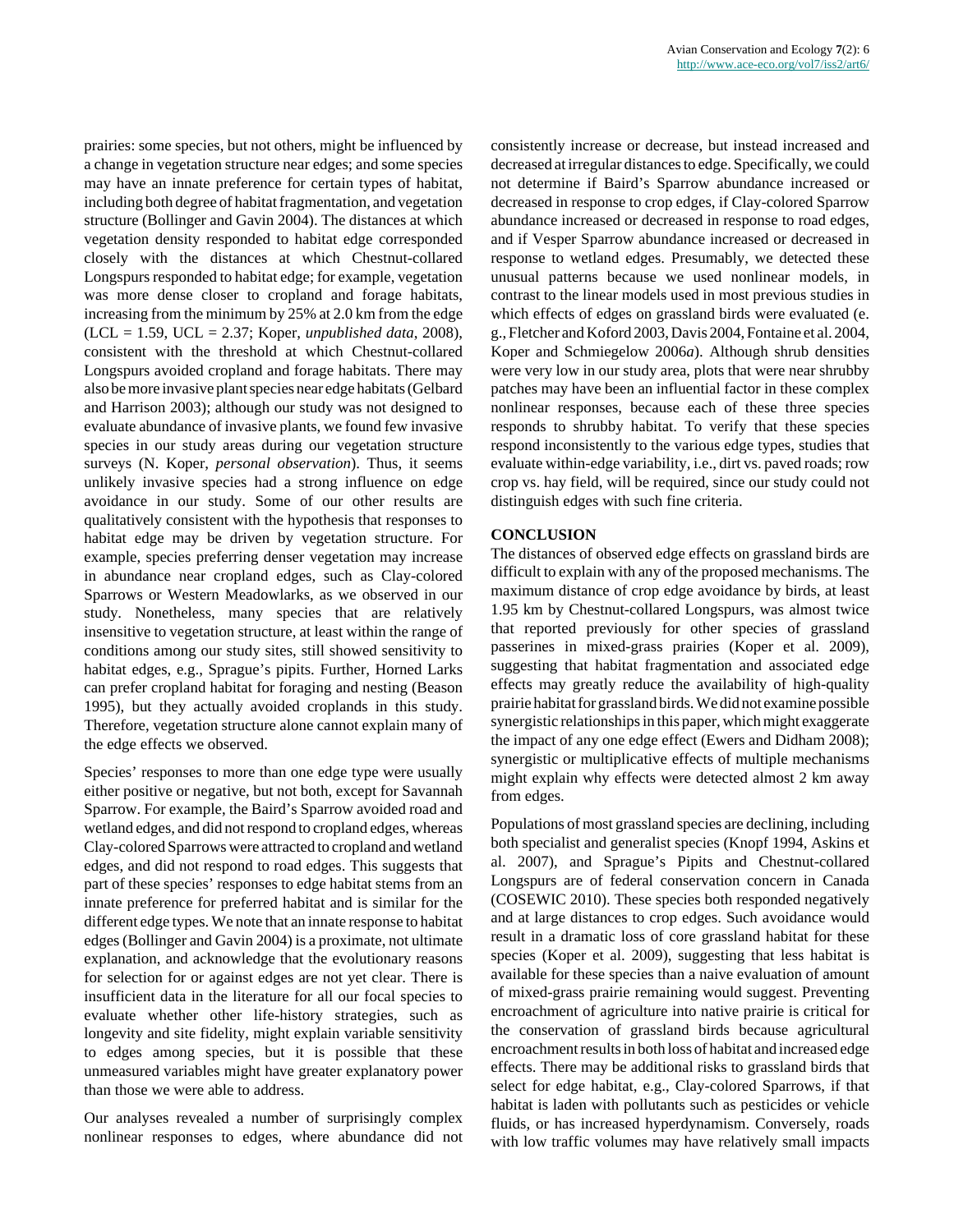prairies: some species, but not others, might be influenced by a change in vegetation structure near edges; and some species may have an innate preference for certain types of habitat, including both degree of habitat fragmentation, and vegetation structure (Bollinger and Gavin 2004). The distances at which vegetation density responded to habitat edge corresponded closely with the distances at which Chestnut-collared Longspurs responded to habitat edge; for example, vegetation was more dense closer to cropland and forage habitats, increasing from the minimum by 25% at 2.0 km from the edge (LCL = 1.59, UCL = 2.37; Koper, *unpublished data*, 2008), consistent with the threshold at which Chestnut-collared Longspurs avoided cropland and forage habitats. There may also be more invasive plant species near edge habitats (Gelbard and Harrison 2003); although our study was not designed to evaluate abundance of invasive plants, we found few invasive species in our study areas during our vegetation structure surveys (N. Koper, *personal observation*). Thus, it seems unlikely invasive species had a strong influence on edge avoidance in our study. Some of our other results are qualitatively consistent with the hypothesis that responses to habitat edge may be driven by vegetation structure. For example, species preferring denser vegetation may increase in abundance near cropland edges, such as Clay-colored Sparrows or Western Meadowlarks, as we observed in our study. Nonetheless, many species that are relatively insensitive to vegetation structure, at least within the range of conditions among our study sites, still showed sensitivity to habitat edges, e.g., Sprague's pipits. Further, Horned Larks can prefer cropland habitat for foraging and nesting (Beason 1995), but they actually avoided croplands in this study. Therefore, vegetation structure alone cannot explain many of the edge effects we observed.

Species' responses to more than one edge type were usually either positive or negative, but not both, except for Savannah Sparrow. For example, the Baird's Sparrow avoided road and wetland edges, and did not respond to cropland edges, whereas Clay-colored Sparrows were attracted to cropland and wetland edges, and did not respond to road edges. This suggests that part of these species' responses to edge habitat stems from an innate preference for preferred habitat and is similar for the different edge types. We note that an innate response to habitat edges (Bollinger and Gavin 2004) is a proximate, not ultimate explanation, and acknowledge that the evolutionary reasons for selection for or against edges are not yet clear. There is insufficient data in the literature for all our focal species to evaluate whether other life-history strategies, such as longevity and site fidelity, might explain variable sensitivity to edges among species, but it is possible that these unmeasured variables might have greater explanatory power than those we were able to address.

Our analyses revealed a number of surprisingly complex nonlinear responses to edges, where abundance did not consistently increase or decrease, but instead increased and decreased at irregular distances to edge. Specifically, we could not determine if Baird's Sparrow abundance increased or decreased in response to crop edges, if Clay-colored Sparrow abundance increased or decreased in response to road edges, and if Vesper Sparrow abundance increased or decreased in response to wetland edges. Presumably, we detected these unusual patterns because we used nonlinear models, in contrast to the linear models used in most previous studies in which effects of edges on grassland birds were evaluated (e. g., Fletcher and Koford 2003, Davis 2004, Fontaine et al. 2004, Koper and Schmiegelow 2006*a*). Although shrub densities were very low in our study area, plots that were near shrubby patches may have been an influential factor in these complex nonlinear responses, because each of these three species responds to shrubby habitat. To verify that these species respond inconsistently to the various edge types, studies that evaluate within-edge variability, i.e., dirt vs. paved roads; row crop vs. hay field, will be required, since our study could not distinguish edges with such fine criteria.

## **CONCLUSION**

The distances of observed edge effects on grassland birds are difficult to explain with any of the proposed mechanisms. The maximum distance of crop edge avoidance by birds, at least 1.95 km by Chestnut-collared Longspurs, was almost twice that reported previously for other species of grassland passerines in mixed-grass prairies (Koper et al. 2009), suggesting that habitat fragmentation and associated edge effects may greatly reduce the availability of high-quality prairie habitat for grassland birds. We did not examine possible synergistic relationships in this paper, which might exaggerate the impact of any one edge effect (Ewers and Didham 2008); synergistic or multiplicative effects of multiple mechanisms might explain why effects were detected almost 2 km away from edges.

Populations of most grassland species are declining, including both specialist and generalist species (Knopf 1994, Askins et al. 2007), and Sprague's Pipits and Chestnut-collared Longspurs are of federal conservation concern in Canada (COSEWIC 2010). These species both responded negatively and at large distances to crop edges. Such avoidance would result in a dramatic loss of core grassland habitat for these species (Koper et al. 2009), suggesting that less habitat is available for these species than a naive evaluation of amount of mixed-grass prairie remaining would suggest. Preventing encroachment of agriculture into native prairie is critical for the conservation of grassland birds because agricultural encroachment results in both loss of habitat and increased edge effects. There may be additional risks to grassland birds that select for edge habitat, e.g., Clay-colored Sparrows, if that habitat is laden with pollutants such as pesticides or vehicle fluids, or has increased hyperdynamism. Conversely, roads with low traffic volumes may have relatively small impacts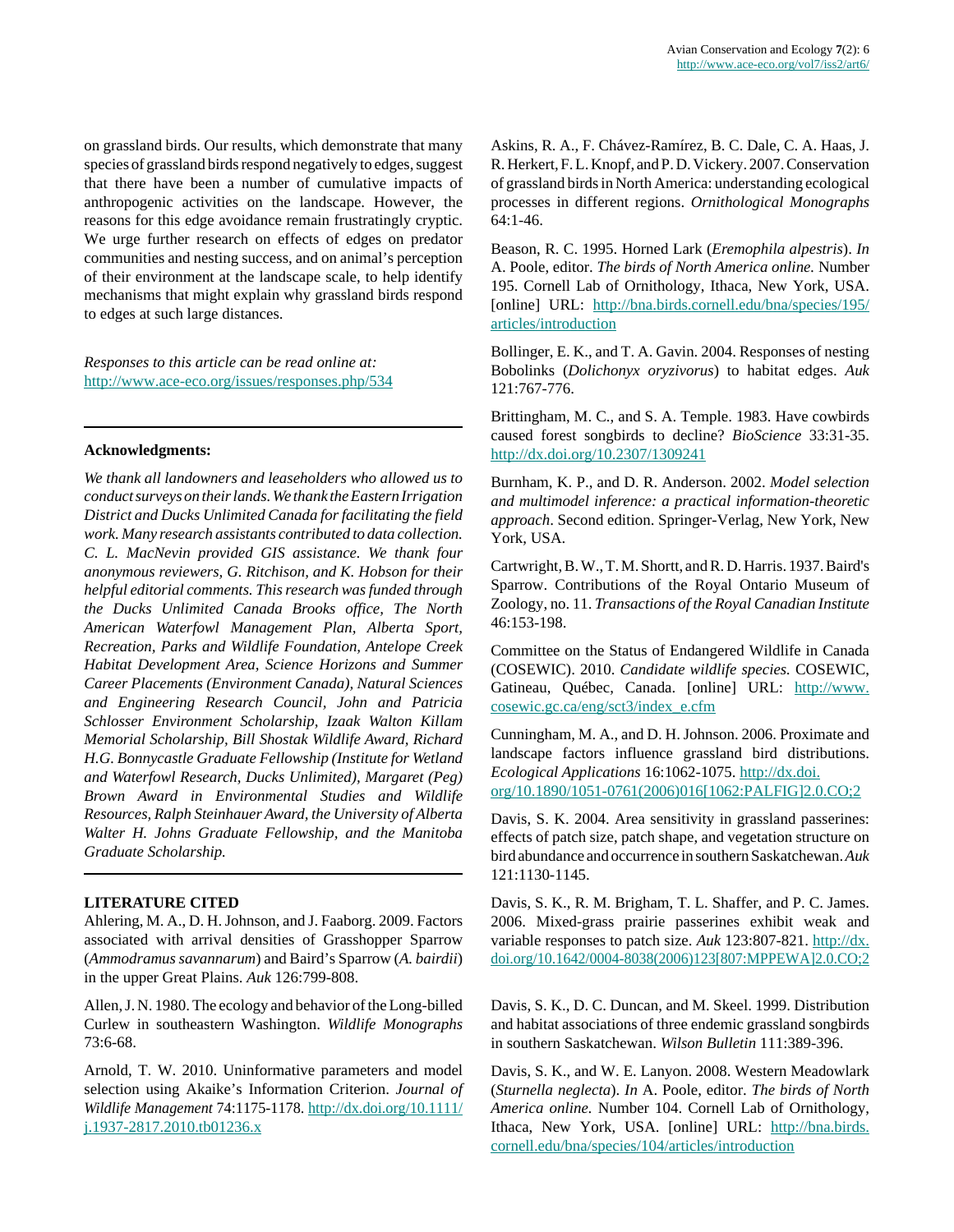on grassland birds. Our results, which demonstrate that many species of grassland birds respond negatively to edges, suggest that there have been a number of cumulative impacts of anthropogenic activities on the landscape. However, the reasons for this edge avoidance remain frustratingly cryptic. We urge further research on effects of edges on predator communities and nesting success, and on animal's perception of their environment at the landscape scale, to help identify mechanisms that might explain why grassland birds respond to edges at such large distances.

*Responses to this article can be read online at:* <http://www.ace-eco.org/issues/responses.php/534>

#### **Acknowledgments:**

*We thank all landowners and leaseholders who allowed us to conduct surveys on their lands. We thank the Eastern Irrigation District and Ducks Unlimited Canada for facilitating the field work. Many research assistants contributed to data collection. C. L. MacNevin provided GIS assistance. We thank four anonymous reviewers, G. Ritchison, and K. Hobson for their helpful editorial comments. This research was funded through the Ducks Unlimited Canada Brooks office, The North American Waterfowl Management Plan, Alberta Sport, Recreation, Parks and Wildlife Foundation, Antelope Creek Habitat Development Area, Science Horizons and Summer Career Placements (Environment Canada), Natural Sciences and Engineering Research Council, John and Patricia Schlosser Environment Scholarship, Izaak Walton Killam Memorial Scholarship, Bill Shostak Wildlife Award, Richard H.G. Bonnycastle Graduate Fellowship (Institute for Wetland and Waterfowl Research, Ducks Unlimited), Margaret (Peg) Brown Award in Environmental Studies and Wildlife Resources, Ralph Steinhauer Award, the University of Alberta Walter H. Johns Graduate Fellowship, and the Manitoba Graduate Scholarship.*

#### **LITERATURE CITED**

Ahlering, M. A., D. H. Johnson, and J. Faaborg. 2009. Factors associated with arrival densities of Grasshopper Sparrow (*Ammodramus savannarum*) and Baird's Sparrow (*A. bairdii*) in the upper Great Plains. *Auk* 126:799-808.

Allen, J. N. 1980. The ecology and behavior of the Long-billed Curlew in southeastern Washington. *Wildlife Monographs* 73:6-68.

Arnold, T. W. 2010. Uninformative parameters and model selection using Akaike's Information Criterion. *Journal of Wildlife Management* 74:1175-1178. [http://dx.doi.org/10.1111/](http://dx.doi.org/10.1111/j.1937-2817.2010.tb01236.x) [j.1937-2817.2010.tb01236.x](http://dx.doi.org/10.1111/j.1937-2817.2010.tb01236.x)

Askins, R. A., F. Chávez-Ramírez, B. C. Dale, C. A. Haas, J. R. Herkert, F. L. Knopf, and P. D. Vickery. 2007. Conservation of grassland birds in North America: understanding ecological processes in different regions. *Ornithological Monographs* 64:1-46.

Beason, R. C. 1995. Horned Lark (*Eremophila alpestris*). *In* A. Poole, editor. *The birds of North America online.* Number 195. Cornell Lab of Ornithology, Ithaca, New York, USA. [online] URL: [http://bna.birds.cornell.edu/bna/species/195/](http://bna.birds.cornell.edu/bna/species/195/articles/introduction) [articles/introduction](http://bna.birds.cornell.edu/bna/species/195/articles/introduction)

Bollinger, E. K., and T. A. Gavin. 2004. Responses of nesting Bobolinks (*Dolichonyx oryzivorus*) to habitat edges. *Auk* 121:767-776.

Brittingham, M. C., and S. A. Temple. 1983. Have cowbirds caused forest songbirds to decline? *BioScience* 33:31-35. <http://dx.doi.org/10.2307/1309241>

Burnham, K. P., and D. R. Anderson. 2002. *Model selection and multimodel inference: a practical information-theoretic approach*. Second edition. Springer-Verlag, New York, New York, USA.

Cartwright, B. W., T. M. Shortt, and R. D. Harris. 1937. Baird's Sparrow. Contributions of the Royal Ontario Museum of Zoology, no. 11. *Transactions of the Royal Canadian Institute* 46:153-198.

Committee on the Status of Endangered Wildlife in Canada (COSEWIC). 2010. *Candidate wildlife species.* COSEWIC, Gatineau, Québec, Canada. [online] URL: [http://www.](http://www.cosewic.gc.ca/eng/sct3/index_e.cfm) [cosewic.gc.ca/eng/sct3/index\\_e.cfm](http://www.cosewic.gc.ca/eng/sct3/index_e.cfm)

Cunningham, M. A., and D. H. Johnson. 2006. Proximate and landscape factors influence grassland bird distributions. *Ecological Applications* 16:1062-1075. [http://dx.doi.](http://dx.doi.org/10.1890/1051-0761(2006)016[1062:PALFIG]2.0.CO;2) [org/10.1890/1051-0761\(2006\)016\[1062:PALFIG\]2.0.CO;2](http://dx.doi.org/10.1890/1051-0761(2006)016[1062:PALFIG]2.0.CO;2)

Davis, S. K. 2004. Area sensitivity in grassland passerines: effects of patch size, patch shape, and vegetation structure on bird abundance and occurrence in southern Saskatchewan. *Auk* 121:1130-1145.

Davis, S. K., R. M. Brigham, T. L. Shaffer, and P. C. James. 2006. Mixed-grass prairie passerines exhibit weak and variable responses to patch size. *Auk* 123:807-821. [http://dx.](http://dx.doi.org/10.1642/0004-8038(2006)123[807:MPPEWA]2.0.CO;2) [doi.org/10.1642/0004-8038\(2006\)123\[807:MPPEWA\]2.0.CO;2](http://dx.doi.org/10.1642/0004-8038(2006)123[807:MPPEWA]2.0.CO;2)

Davis, S. K., D. C. Duncan, and M. Skeel. 1999. Distribution and habitat associations of three endemic grassland songbirds in southern Saskatchewan. *Wilson Bulletin* 111:389-396.

Davis, S. K., and W. E. Lanyon. 2008. Western Meadowlark (*Sturnella neglecta*). *In* A. Poole, editor. *The birds of North America online.* Number 104. Cornell Lab of Ornithology, Ithaca, New York, USA. [online] URL: [http://bna.birds.](http://bna.birds.cornell.edu/bna/species/104/articles/introduction) [cornell.edu/bna/species/104/articles/introduction](http://bna.birds.cornell.edu/bna/species/104/articles/introduction)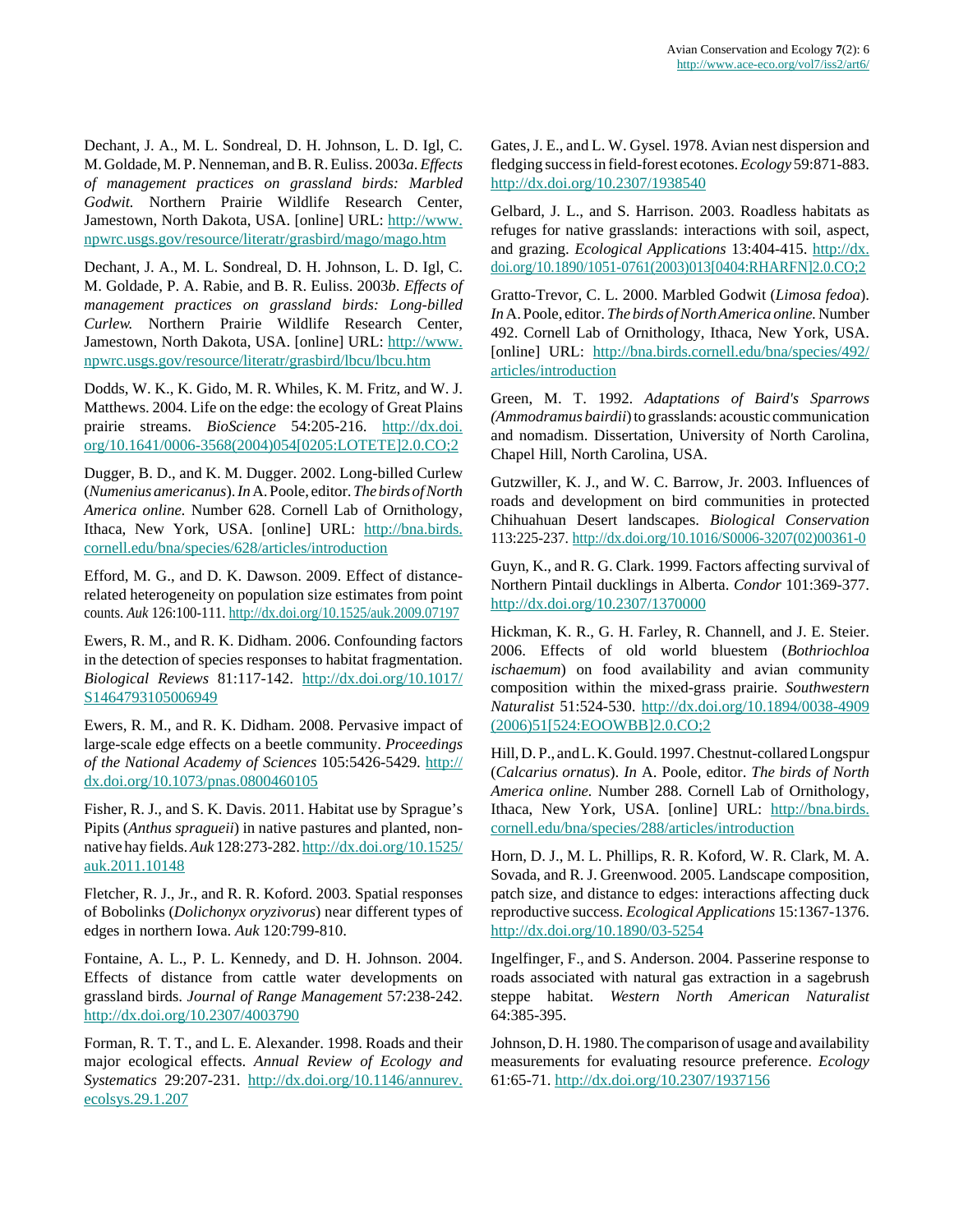Dechant, J. A., M. L. Sondreal, D. H. Johnson, L. D. Igl, C. M. Goldade, M. P. Nenneman, and B. R. Euliss. 2003*a*. *Effects of management practices on grassland birds: Marbled Godwit.* Northern Prairie Wildlife Research Center, Jamestown, North Dakota, USA. [online] URL: [http://www.](http://www.npwrc.usgs.gov/resource/literatr/grasbird/mago/mago.htm) [npwrc.usgs.gov/resource/literatr/grasbird/mago/mago.htm](http://www.npwrc.usgs.gov/resource/literatr/grasbird/mago/mago.htm)

Dechant, J. A., M. L. Sondreal, D. H. Johnson, L. D. Igl, C. M. Goldade, P. A. Rabie, and B. R. Euliss. 2003*b*. *Effects of management practices on grassland birds: Long-billed Curlew.* Northern Prairie Wildlife Research Center, Jamestown, North Dakota, USA. [online] URL: [http://www.](http://www.npwrc.usgs.gov/resource/literatr/grasbird/lbcu/lbcu.htm) [npwrc.usgs.gov/resource/literatr/grasbird/lbcu/lbcu.htm](http://www.npwrc.usgs.gov/resource/literatr/grasbird/lbcu/lbcu.htm)

Dodds, W. K., K. Gido, M. R. Whiles, K. M. Fritz, and W. J. Matthews. 2004. Life on the edge: the ecology of Great Plains prairie streams. *BioScience* 54:205-216. [http://dx.doi.](http://dx.doi.org/10.1641/0006-3568(2004)054[0205:LOTETE]2.0.CO;2) [org/10.1641/0006-3568\(2004\)054\[0205:LOTETE\]2.0.CO;2](http://dx.doi.org/10.1641/0006-3568(2004)054[0205:LOTETE]2.0.CO;2)

Dugger, B. D., and K. M. Dugger. 2002. Long-billed Curlew (*Numenius americanus*). *In* A. Poole, editor. *The birds of North America online.* Number 628. Cornell Lab of Ornithology, Ithaca, New York, USA. [online] URL: [http://bna.birds.](http://bna.birds.cornell.edu/bna/species/628/articles/introduction) [cornell.edu/bna/species/628/articles/introduction](http://bna.birds.cornell.edu/bna/species/628/articles/introduction)

Efford, M. G., and D. K. Dawson. 2009. Effect of distancerelated heterogeneity on population size estimates from point counts. *Auk* 126:100-111. <http://dx.doi.org/10.1525/auk.2009.07197>

Ewers, R. M., and R. K. Didham. 2006. Confounding factors in the detection of species responses to habitat fragmentation. *Biological Reviews* 81:117-142. [http://dx.doi.org/10.1017/](http://dx.doi.org/10.1017/S1464793105006949) [S1464793105006949](http://dx.doi.org/10.1017/S1464793105006949)

Ewers, R. M., and R. K. Didham. 2008. Pervasive impact of large-scale edge effects on a beetle community. *Proceedings of the National Academy of Sciences* 105:5426-5429. [http://](http://dx.doi.org/10.1073/pnas.0800460105) [dx.doi.org/10.1073/pnas.0800460105](http://dx.doi.org/10.1073/pnas.0800460105)

Fisher, R. J., and S. K. Davis. 2011. Habitat use by Sprague's Pipits (*Anthus spragueii*) in native pastures and planted, nonnative hay fields. *Auk* 128:273-282. [http://dx.doi.org/10.1525/](http://dx.doi.org/10.1525/auk.2011.10148) [auk.2011.10148](http://dx.doi.org/10.1525/auk.2011.10148)

Fletcher, R. J., Jr., and R. R. Koford. 2003. Spatial responses of Bobolinks (*Dolichonyx oryzivorus*) near different types of edges in northern Iowa. *Auk* 120:799-810.

Fontaine, A. L., P. L. Kennedy, and D. H. Johnson. 2004. Effects of distance from cattle water developments on grassland birds. *Journal of Range Management* 57:238-242. <http://dx.doi.org/10.2307/4003790>

Forman, R. T. T., and L. E. Alexander. 1998. Roads and their major ecological effects. *Annual Review of Ecology and Systematics* 29:207-231. [http://dx.doi.org/10.1146/annurev.](http://dx.doi.org/10.1146/annurev.ecolsys.29.1.207) [ecolsys.29.1.207](http://dx.doi.org/10.1146/annurev.ecolsys.29.1.207)

Gates, J. E., and L. W. Gysel. 1978. Avian nest dispersion and fledging success in field-forest ecotones. *Ecology* 59:871-883. <http://dx.doi.org/10.2307/1938540>

Gelbard, J. L., and S. Harrison. 2003. Roadless habitats as refuges for native grasslands: interactions with soil, aspect, and grazing. *Ecological Applications* 13:404-415. [http://dx.](http://dx.doi.org/10.1890/1051-0761(2003)013[0404:RHARFN]2.0.CO;2) [doi.org/10.1890/1051-0761\(2003\)013\[0404:RHARFN\]2.0.CO;2](http://dx.doi.org/10.1890/1051-0761(2003)013[0404:RHARFN]2.0.CO;2)

Gratto-Trevor, C. L. 2000. Marbled Godwit (*Limosa fedoa*). *In* A. Poole, editor. *The birds of North America online.* Number 492. Cornell Lab of Ornithology, Ithaca, New York, USA. [online] URL: [http://bna.birds.cornell.edu/bna/species/492/](http://bna.birds.cornell.edu/bna/species/492/articles/introduction) [articles/introduction](http://bna.birds.cornell.edu/bna/species/492/articles/introduction)

Green, M. T. 1992. *Adaptations of Baird's Sparrows (Ammodramus bairdii*) to grasslands: acoustic communication and nomadism. Dissertation, University of North Carolina, Chapel Hill, North Carolina, USA.

Gutzwiller, K. J., and W. C. Barrow, Jr. 2003. Influences of roads and development on bird communities in protected Chihuahuan Desert landscapes. *Biological Conservation* 113:225-237. [http://dx.doi.org/10.1016/S0006-3207\(02\)00361-0](http://dx.doi.org/10.1016/S0006-3207(02)00361-0)

Guyn, K., and R. G. Clark. 1999. Factors affecting survival of Northern Pintail ducklings in Alberta. *Condor* 101:369-377. <http://dx.doi.org/10.2307/1370000>

Hickman, K. R., G. H. Farley, R. Channell, and J. E. Steier. 2006. Effects of old world bluestem (*Bothriochloa ischaemum*) on food availability and avian community composition within the mixed-grass prairie. *Southwestern Naturalist* 51:524-530. [http://dx.doi.org/10.1894/0038-4909](http://dx.doi.org/10.1894/0038-4909(2006)51[524:EOOWBB]2.0.CO;2) [\(2006\)51\[524:EOOWBB\]2.0.CO;2](http://dx.doi.org/10.1894/0038-4909(2006)51[524:EOOWBB]2.0.CO;2)

Hill, D. P., and L. K. Gould. 1997. Chestnut-collared Longspur (*Calcarius ornatus*). *In* A. Poole, editor. *The birds of North America online.* Number 288. Cornell Lab of Ornithology, Ithaca, New York, USA. [online] URL: [http://bna.birds.](http://bna.birds.cornell.edu/bna/species/288/articles/introduction) [cornell.edu/bna/species/288/articles/introduction](http://bna.birds.cornell.edu/bna/species/288/articles/introduction) 

Horn, D. J., M. L. Phillips, R. R. Koford, W. R. Clark, M. A. Sovada, and R. J. Greenwood. 2005. Landscape composition, patch size, and distance to edges: interactions affecting duck reproductive success. *Ecological Applications* 15:1367-1376. <http://dx.doi.org/10.1890/03-5254>

Ingelfinger, F., and S. Anderson. 2004. Passerine response to roads associated with natural gas extraction in a sagebrush steppe habitat. *Western North American Naturalist* 64:385-395.

Johnson, D. H. 1980. The comparison of usage and availability measurements for evaluating resource preference. *Ecology* 61:65-71.<http://dx.doi.org/10.2307/1937156>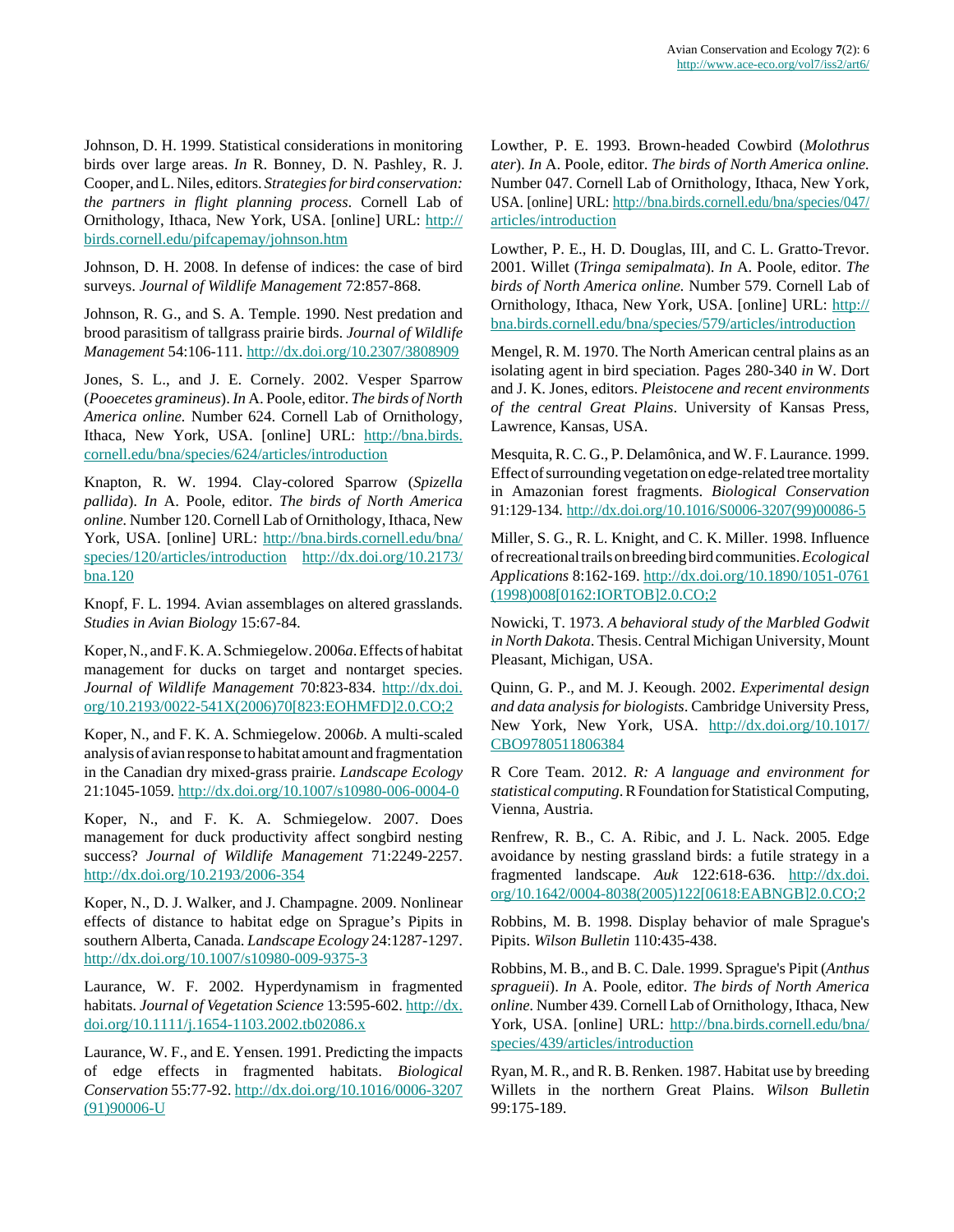Johnson, D. H. 1999. Statistical considerations in monitoring birds over large areas. *In* R. Bonney, D. N. Pashley, R. J. Cooper, and L. Niles, editors. *Strategies for bird conservation: the partners in flight planning process*. Cornell Lab of Ornithology, Ithaca, New York, USA. [online] URL: [http://](http://birds.cornell.edu/pifcapemay/johnson.htm) [birds.cornell.edu/pifcapemay/johnson.htm](http://birds.cornell.edu/pifcapemay/johnson.htm)

Johnson, D. H. 2008. In defense of indices: the case of bird surveys. *Journal of Wildlife Management* 72:857-868.

Johnson, R. G., and S. A. Temple. 1990. Nest predation and brood parasitism of tallgrass prairie birds. *Journal of Wildlife Management* 54:106-111.<http://dx.doi.org/10.2307/3808909>

Jones, S. L., and J. E. Cornely. 2002. Vesper Sparrow (*Pooecetes gramineus*). *In* A. Poole, editor. *The birds of North America online.* Number 624. Cornell Lab of Ornithology, Ithaca, New York, USA. [online] URL: [http://bna.birds.](http://bna.birds.cornell.edu/bna/species/624/articles/introduction) [cornell.edu/bna/species/624/articles/introduction](http://bna.birds.cornell.edu/bna/species/624/articles/introduction)

Knapton, R. W. 1994. Clay-colored Sparrow (*Spizella pallida*). *In* A. Poole, editor. *The birds of North America online.* Number 120. Cornell Lab of Ornithology, Ithaca, New York, USA. [online] URL: [http://bna.birds.cornell.edu/bna/](http://bna.birds.cornell.edu/bna/species/120/articles/introduction) [species/120/articles/introduction](http://bna.birds.cornell.edu/bna/species/120/articles/introduction) [http://dx.doi.org/10.2173/](http://dx.doi.org/10.2173/bna.120) [bna.120](http://dx.doi.org/10.2173/bna.120)

Knopf, F. L. 1994. Avian assemblages on altered grasslands. *Studies in Avian Biology* 15:67-84.

Koper, N., and F. K. A. Schmiegelow. 2006*a*. Effects of habitat management for ducks on target and nontarget species. Journal of Wildlife Management 70:823-834. [http://dx.doi.](http://dx.doi.org/10.2193/0022-541X(2006)70[823:EOHMFD]2.0.CO;2) [org/10.2193/0022-541X\(2006\)70\[823:EOHMFD\]2.0.CO;2](http://dx.doi.org/10.2193/0022-541X(2006)70[823:EOHMFD]2.0.CO;2) 

Koper, N., and F. K. A. Schmiegelow. 2006*b*. A multi-scaled analysis of avian response to habitat amount and fragmentation in the Canadian dry mixed-grass prairie. *Landscape Ecology* 21:1045-1059.<http://dx.doi.org/10.1007/s10980-006-0004-0>

Koper, N., and F. K. A. Schmiegelow. 2007. Does management for duck productivity affect songbird nesting success? *Journal of Wildlife Management* 71:2249-2257. <http://dx.doi.org/10.2193/2006-354>

Koper, N., D. J. Walker, and J. Champagne. 2009. Nonlinear effects of distance to habitat edge on Sprague's Pipits in southern Alberta, Canada. *Landscape Ecology* 24:1287-1297. <http://dx.doi.org/10.1007/s10980-009-9375-3>

Laurance, W. F. 2002. Hyperdynamism in fragmented habitats. *Journal of Vegetation Science* 13:595-602. [http://dx.](http://dx.doi.org/10.1111/j.1654-1103.2002.tb02086.x) [doi.org/10.1111/j.1654-1103.2002.tb02086.x](http://dx.doi.org/10.1111/j.1654-1103.2002.tb02086.x)

Laurance, W. F., and E. Yensen. 1991. Predicting the impacts of edge effects in fragmented habitats. *Biological Conservation* 55:77-92. [http://dx.doi.org/10.1016/0006-3207](http://dx.doi.org/10.1016/0006-3207(91)90006-U) [\(91\)90006-U](http://dx.doi.org/10.1016/0006-3207(91)90006-U)

Lowther, P. E. 1993. Brown-headed Cowbird (*Molothrus ater*). *In* A. Poole, editor. *The birds of North America online.* Number 047. Cornell Lab of Ornithology, Ithaca, New York, USA. [online] URL: [http://bna.birds.cornell.edu/bna/species/047/](http://bna.birds.cornell.edu/bna/species/047/articles/introduction) [articles/introduction](http://bna.birds.cornell.edu/bna/species/047/articles/introduction)

Lowther, P. E., H. D. Douglas, III, and C. L. Gratto-Trevor. 2001. Willet (*Tringa semipalmata*). *In* A. Poole, editor. *The birds of North America online.* Number 579. Cornell Lab of Ornithology, Ithaca, New York, USA. [online] URL: [http://](http://bna.birds.cornell.edu/bna/species/579/articles/introduction) [bna.birds.cornell.edu/bna/species/579/articles/introduction](http://bna.birds.cornell.edu/bna/species/579/articles/introduction)

Mengel, R. M. 1970. The North American central plains as an isolating agent in bird speciation. Pages 280-340 *in* W. Dort and J. K. Jones, editors. *Pleistocene and recent environments of the central Great Plains*. University of Kansas Press, Lawrence, Kansas, USA.

Mesquita, R. C. G., P. Delamônica, and W. F. Laurance. 1999. Effect of surrounding vegetation on edge-related tree mortality in Amazonian forest fragments. *Biological Conservation* 91:129-134. [http://dx.doi.org/10.1016/S0006-3207\(99\)00086-5](http://dx.doi.org/10.1016/S0006-3207(99)00086-5)

Miller, S. G., R. L. Knight, and C. K. Miller. 1998. Influence of recreational trails on breeding bird communities. *Ecological Applications* 8:162-169. [http://dx.doi.org/10.1890/1051-0761](http://dx.doi.org/10.1890/1051-0761(1998)008[0162:IORTOB]2.0.CO;2) [\(1998\)008\[0162:IORTOB\]2.0.CO;2](http://dx.doi.org/10.1890/1051-0761(1998)008[0162:IORTOB]2.0.CO;2)

Nowicki, T. 1973. *A behavioral study of the Marbled Godwit in North Dakota*. Thesis. Central Michigan University, Mount Pleasant, Michigan, USA.

Quinn, G. P., and M. J. Keough. 2002. *Experimental design and data analysis for biologists*. Cambridge University Press, New York, New York, USA. [http://dx.doi.org/10.1017/](http://dx.doi.org/10.1017/CBO9780511806384) [CBO9780511806384](http://dx.doi.org/10.1017/CBO9780511806384)

R Core Team. 2012. *R: A language and environment for statistical computing*. R Foundation for Statistical Computing, Vienna, Austria.

Renfrew, R. B., C. A. Ribic, and J. L. Nack. 2005. Edge avoidance by nesting grassland birds: a futile strategy in a fragmented landscape. *Auk* 122:618-636. [http://dx.doi.](http://dx.doi.org/10.1642/0004-8038(2005)122[0618:EABNGB]2.0.CO;2) [org/10.1642/0004-8038\(2005\)122\[0618:EABNGB\]2.0.CO;2](http://dx.doi.org/10.1642/0004-8038(2005)122[0618:EABNGB]2.0.CO;2)

Robbins, M. B. 1998. Display behavior of male Sprague's Pipits. *Wilson Bulletin* 110:435-438.

Robbins, M. B., and B. C. Dale. 1999. Sprague's Pipit (*Anthus spragueii*). *In* A. Poole, editor. *The birds of North America online.* Number 439. Cornell Lab of Ornithology, Ithaca, New York, USA. [online] URL: [http://bna.birds.cornell.edu/bna/](http://bna.birds.cornell.edu/bna/species/439/articles/introduction) [species/439/articles/introduction](http://bna.birds.cornell.edu/bna/species/439/articles/introduction)

Ryan, M. R., and R. B. Renken. 1987. Habitat use by breeding Willets in the northern Great Plains. *Wilson Bulletin* 99:175-189.